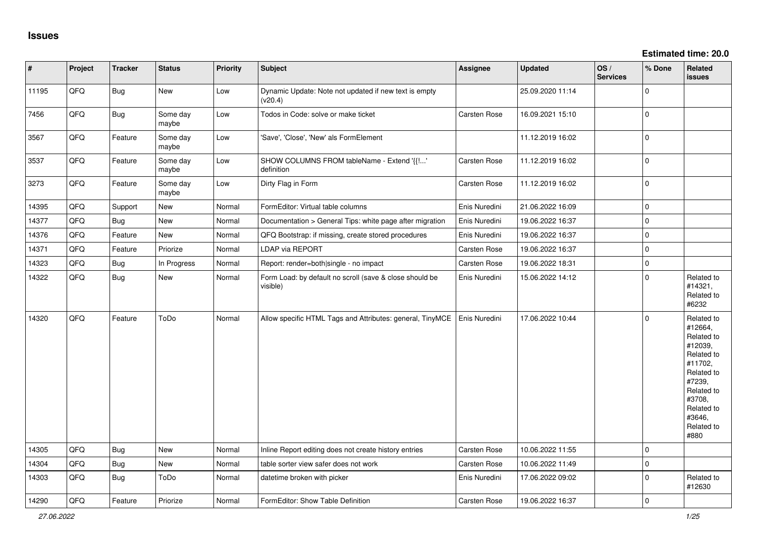| $\vert$ # | Project | <b>Tracker</b> | <b>Status</b>     | <b>Priority</b> | <b>Subject</b>                                                      | Assignee            | Updated          | OS/<br><b>Services</b> | % Done              | Related<br><b>issues</b>                                                                                                                                              |
|-----------|---------|----------------|-------------------|-----------------|---------------------------------------------------------------------|---------------------|------------------|------------------------|---------------------|-----------------------------------------------------------------------------------------------------------------------------------------------------------------------|
| 11195     | QFQ     | <b>Bug</b>     | New               | Low             | Dynamic Update: Note not updated if new text is empty<br>(v20.4)    |                     | 25.09.2020 11:14 |                        | 0                   |                                                                                                                                                                       |
| 7456      | QFQ     | <b>Bug</b>     | Some day<br>maybe | Low             | Todos in Code: solve or make ticket                                 | Carsten Rose        | 16.09.2021 15:10 |                        | $\mathbf{0}$        |                                                                                                                                                                       |
| 3567      | QFQ     | Feature        | Some day<br>maybe | Low             | 'Save', 'Close', 'New' als FormElement                              |                     | 11.12.2019 16:02 |                        | $\mathbf{0}$        |                                                                                                                                                                       |
| 3537      | QFQ     | Feature        | Some dav<br>maybe | Low             | SHOW COLUMNS FROM tableName - Extend '{{!'<br>definition            | Carsten Rose        | 11.12.2019 16:02 |                        | $\mathbf 0$         |                                                                                                                                                                       |
| 3273      | QFQ     | Feature        | Some day<br>maybe | Low             | Dirty Flag in Form                                                  | Carsten Rose        | 11.12.2019 16:02 |                        | $\mathbf{0}$        |                                                                                                                                                                       |
| 14395     | QFQ     | Support        | New               | Normal          | FormEditor: Virtual table columns                                   | Enis Nuredini       | 21.06.2022 16:09 |                        | $\mathsf{O}\xspace$ |                                                                                                                                                                       |
| 14377     | QFQ     | Bug            | New               | Normal          | Documentation > General Tips: white page after migration            | Enis Nuredini       | 19.06.2022 16:37 |                        | $\mathbf 0$         |                                                                                                                                                                       |
| 14376     | QFQ     | Feature        | New               | Normal          | QFQ Bootstrap: if missing, create stored procedures                 | Enis Nuredini       | 19.06.2022 16:37 |                        | $\mathbf 0$         |                                                                                                                                                                       |
| 14371     | QFQ     | Feature        | Priorize          | Normal          | LDAP via REPORT                                                     | Carsten Rose        | 19.06.2022 16:37 |                        | $\mathsf{O}\xspace$ |                                                                                                                                                                       |
| 14323     | QFQ     | Bug            | In Progress       | Normal          | Report: render=both single - no impact                              | Carsten Rose        | 19.06.2022 18:31 |                        | $\mathsf{O}\xspace$ |                                                                                                                                                                       |
| 14322     | QFQ     | Bug            | New               | Normal          | Form Load: by default no scroll (save & close should be<br>visible) | Enis Nuredini       | 15.06.2022 14:12 |                        | $\mathbf 0$         | Related to<br>#14321,<br>Related to<br>#6232                                                                                                                          |
| 14320     | QFQ     | Feature        | ToDo              | Normal          | Allow specific HTML Tags and Attributes: general, TinyMCE           | Enis Nuredini       | 17.06.2022 10:44 |                        | $\mathbf 0$         | Related to<br>#12664,<br>Related to<br>#12039,<br>Related to<br>#11702,<br>Related to<br>#7239,<br>Related to<br>#3708,<br>Related to<br>#3646,<br>Related to<br>#880 |
| 14305     | QFQ     | Bug            | New               | Normal          | Inline Report editing does not create history entries               | Carsten Rose        | 10.06.2022 11:55 |                        | $\mathbf 0$         |                                                                                                                                                                       |
| 14304     | QFQ     | Bug            | New               | Normal          | table sorter view safer does not work                               | <b>Carsten Rose</b> | 10.06.2022 11:49 |                        | $\mathbf 0$         |                                                                                                                                                                       |
| 14303     | QFQ     | Bug            | ToDo              | Normal          | datetime broken with picker                                         | Enis Nuredini       | 17.06.2022 09:02 |                        | 0                   | Related to<br>#12630                                                                                                                                                  |
| 14290     | QFQ     | Feature        | Priorize          | Normal          | FormEditor: Show Table Definition                                   | <b>Carsten Rose</b> | 19.06.2022 16:37 |                        | $\mathbf 0$         |                                                                                                                                                                       |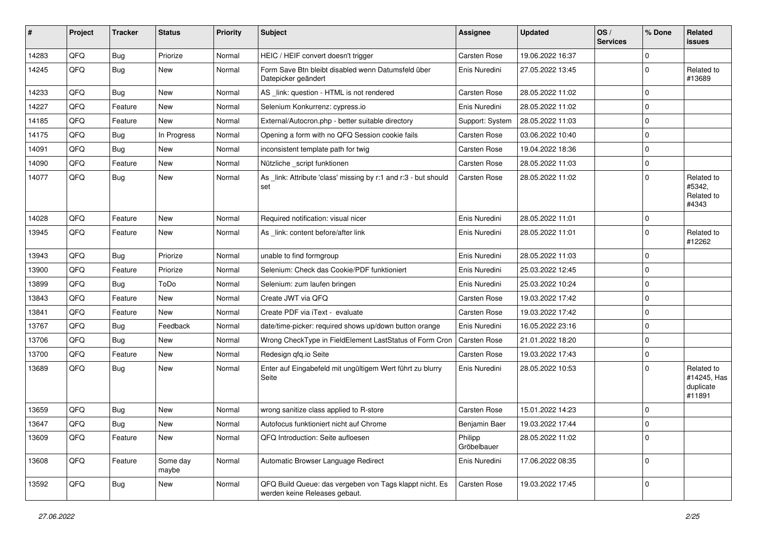| #     | Project | <b>Tracker</b> | <b>Status</b>     | <b>Priority</b> | Subject                                                                                  | <b>Assignee</b>        | <b>Updated</b>   | OS/<br><b>Services</b> | % Done      | Related<br>issues                                |
|-------|---------|----------------|-------------------|-----------------|------------------------------------------------------------------------------------------|------------------------|------------------|------------------------|-------------|--------------------------------------------------|
| 14283 | QFQ     | Bug            | Priorize          | Normal          | HEIC / HEIF convert doesn't trigger                                                      | Carsten Rose           | 19.06.2022 16:37 |                        | $\Omega$    |                                                  |
| 14245 | QFQ     | Bug            | New               | Normal          | Form Save Btn bleibt disabled wenn Datumsfeld über<br>Datepicker geändert                | Enis Nuredini          | 27.05.2022 13:45 |                        | $\Omega$    | Related to<br>#13689                             |
| 14233 | QFQ     | Bug            | New               | Normal          | AS _link: question - HTML is not rendered                                                | Carsten Rose           | 28.05.2022 11:02 |                        | $\Omega$    |                                                  |
| 14227 | QFQ     | Feature        | New               | Normal          | Selenium Konkurrenz: cypress.io                                                          | Enis Nuredini          | 28.05.2022 11:02 |                        | 0           |                                                  |
| 14185 | QFQ     | Feature        | New               | Normal          | External/Autocron.php - better suitable directory                                        | Support: System        | 28.05.2022 11:03 |                        | $\Omega$    |                                                  |
| 14175 | QFQ     | <b>Bug</b>     | In Progress       | Normal          | Opening a form with no QFQ Session cookie fails                                          | Carsten Rose           | 03.06.2022 10:40 |                        | $\mathbf 0$ |                                                  |
| 14091 | QFQ     | Bug            | New               | Normal          | inconsistent template path for twig                                                      | Carsten Rose           | 19.04.2022 18:36 |                        | $\Omega$    |                                                  |
| 14090 | QFQ     | Feature        | <b>New</b>        | Normal          | Nützliche _script funktionen                                                             | Carsten Rose           | 28.05.2022 11:03 |                        | $\mathbf 0$ |                                                  |
| 14077 | QFQ     | Bug            | New               | Normal          | As _link: Attribute 'class' missing by r:1 and r:3 - but should<br>set                   | Carsten Rose           | 28.05.2022 11:02 |                        | $\Omega$    | Related to<br>#5342,<br>Related to<br>#4343      |
| 14028 | QFQ     | Feature        | New               | Normal          | Required notification: visual nicer                                                      | Enis Nuredini          | 28.05.2022 11:01 |                        | $\mathbf 0$ |                                                  |
| 13945 | QFQ     | Feature        | New               | Normal          | As _link: content before/after link                                                      | Enis Nuredini          | 28.05.2022 11:01 |                        | $\mathbf 0$ | Related to<br>#12262                             |
| 13943 | QFQ     | Bug            | Priorize          | Normal          | unable to find formgroup                                                                 | Enis Nuredini          | 28.05.2022 11:03 |                        | $\Omega$    |                                                  |
| 13900 | QFQ     | Feature        | Priorize          | Normal          | Selenium: Check das Cookie/PDF funktioniert                                              | Enis Nuredini          | 25.03.2022 12:45 |                        | $\Omega$    |                                                  |
| 13899 | QFQ     | Bug            | ToDo              | Normal          | Selenium: zum laufen bringen                                                             | Enis Nuredini          | 25.03.2022 10:24 |                        | $\Omega$    |                                                  |
| 13843 | QFQ     | Feature        | New               | Normal          | Create JWT via QFQ                                                                       | Carsten Rose           | 19.03.2022 17:42 |                        | $\Omega$    |                                                  |
| 13841 | QFQ     | Feature        | New               | Normal          | Create PDF via iText - evaluate                                                          | Carsten Rose           | 19.03.2022 17:42 |                        | 0           |                                                  |
| 13767 | QFQ     | Bug            | Feedback          | Normal          | date/time-picker: required shows up/down button orange                                   | Enis Nuredini          | 16.05.2022 23:16 |                        | $\Omega$    |                                                  |
| 13706 | QFQ     | Bug            | New               | Normal          | Wrong CheckType in FieldElement LastStatus of Form Cron                                  | Carsten Rose           | 21.01.2022 18:20 |                        | $\mathbf 0$ |                                                  |
| 13700 | QFQ     | Feature        | New               | Normal          | Redesign gfg.io Seite                                                                    | Carsten Rose           | 19.03.2022 17:43 |                        | $\Omega$    |                                                  |
| 13689 | QFQ     | <b>Bug</b>     | New               | Normal          | Enter auf Eingabefeld mit ungültigem Wert führt zu blurry<br>Seite                       | Enis Nuredini          | 28.05.2022 10:53 |                        | U           | Related to<br>#14245, Has<br>duplicate<br>#11891 |
| 13659 | QFQ     | <b>Bug</b>     | New               | Normal          | wrong sanitize class applied to R-store                                                  | Carsten Rose           | 15.01.2022 14:23 |                        | $\Omega$    |                                                  |
| 13647 | QFQ     | Bug            | New               | Normal          | Autofocus funktioniert nicht auf Chrome                                                  | Benjamin Baer          | 19.03.2022 17:44 |                        | $\Omega$    |                                                  |
| 13609 | QFQ     | Feature        | New               | Normal          | QFQ Introduction: Seite aufloesen                                                        | Philipp<br>Gröbelbauer | 28.05.2022 11:02 |                        | $\mathbf 0$ |                                                  |
| 13608 | QFQ     | Feature        | Some day<br>maybe | Normal          | Automatic Browser Language Redirect                                                      | Enis Nuredini          | 17.06.2022 08:35 |                        | $\mathbf 0$ |                                                  |
| 13592 | QFQ     | <b>Bug</b>     | New               | Normal          | QFQ Build Queue: das vergeben von Tags klappt nicht. Es<br>werden keine Releases gebaut. | Carsten Rose           | 19.03.2022 17:45 |                        | $\mathbf 0$ |                                                  |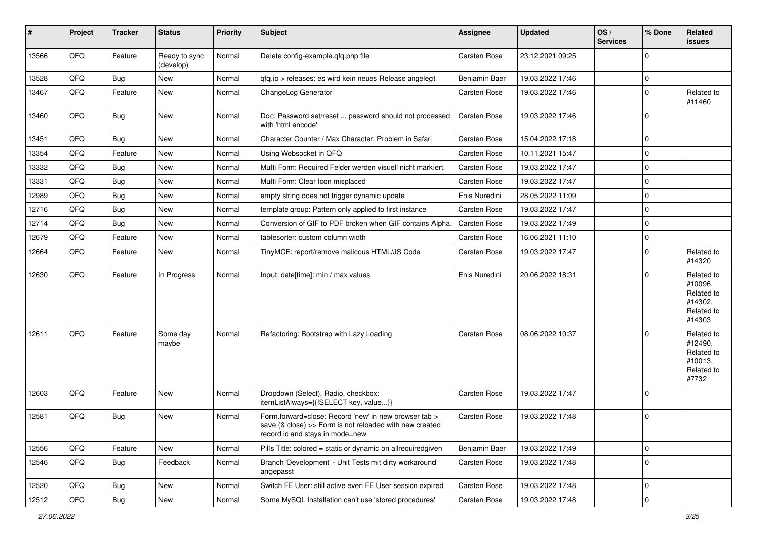| #     | Project | <b>Tracker</b> | <b>Status</b>              | <b>Priority</b> | Subject                                                                                                                                             | Assignee      | <b>Updated</b>   | OS/<br><b>Services</b> | % Done      | Related<br>issues                                                      |
|-------|---------|----------------|----------------------------|-----------------|-----------------------------------------------------------------------------------------------------------------------------------------------------|---------------|------------------|------------------------|-------------|------------------------------------------------------------------------|
| 13566 | QFQ     | Feature        | Ready to sync<br>(develop) | Normal          | Delete config-example.qfq.php file                                                                                                                  | Carsten Rose  | 23.12.2021 09:25 |                        | $\Omega$    |                                                                        |
| 13528 | QFQ     | <b>Bug</b>     | New                        | Normal          | qfq.io > releases: es wird kein neues Release angelegt                                                                                              | Benjamin Baer | 19.03.2022 17:46 |                        | $\mathbf 0$ |                                                                        |
| 13467 | QFQ     | Feature        | New                        | Normal          | ChangeLog Generator                                                                                                                                 | Carsten Rose  | 19.03.2022 17:46 |                        | $\Omega$    | Related to<br>#11460                                                   |
| 13460 | QFQ     | <b>Bug</b>     | New                        | Normal          | Doc: Password set/reset  password should not processed<br>with 'html encode'                                                                        | Carsten Rose  | 19.03.2022 17:46 |                        | 0           |                                                                        |
| 13451 | QFQ     | Bug            | New                        | Normal          | Character Counter / Max Character: Problem in Safari                                                                                                | Carsten Rose  | 15.04.2022 17:18 |                        | $\Omega$    |                                                                        |
| 13354 | QFQ     | Feature        | <b>New</b>                 | Normal          | Using Websocket in QFQ                                                                                                                              | Carsten Rose  | 10.11.2021 15:47 |                        | $\mathbf 0$ |                                                                        |
| 13332 | QFQ     | Bug            | New                        | Normal          | Multi Form: Required Felder werden visuell nicht markiert.                                                                                          | Carsten Rose  | 19.03.2022 17:47 |                        | $\mathbf 0$ |                                                                        |
| 13331 | QFQ     | Bug            | New                        | Normal          | Multi Form: Clear Icon misplaced                                                                                                                    | Carsten Rose  | 19.03.2022 17:47 |                        | $\Omega$    |                                                                        |
| 12989 | QFQ     | <b>Bug</b>     | New                        | Normal          | empty string does not trigger dynamic update                                                                                                        | Enis Nuredini | 28.05.2022 11:09 |                        | $\mathbf 0$ |                                                                        |
| 12716 | QFQ     | Bug            | New                        | Normal          | template group: Pattern only applied to first instance                                                                                              | Carsten Rose  | 19.03.2022 17:47 |                        | $\Omega$    |                                                                        |
| 12714 | QFQ     | Bug            | New                        | Normal          | Conversion of GIF to PDF broken when GIF contains Alpha.                                                                                            | Carsten Rose  | 19.03.2022 17:49 |                        | $\Omega$    |                                                                        |
| 12679 | QFQ     | Feature        | New                        | Normal          | tablesorter: custom column width                                                                                                                    | Carsten Rose  | 16.06.2021 11:10 |                        | $\mathbf 0$ |                                                                        |
| 12664 | QFQ     | Feature        | New                        | Normal          | TinyMCE: report/remove malicous HTML/JS Code                                                                                                        | Carsten Rose  | 19.03.2022 17:47 |                        | $\Omega$    | Related to<br>#14320                                                   |
| 12630 | QFQ     | Feature        | In Progress                | Normal          | Input: date[time]: min / max values                                                                                                                 | Enis Nuredini | 20.06.2022 18:31 |                        | $\mathbf 0$ | Related to<br>#10096,<br>Related to<br>#14302,<br>Related to<br>#14303 |
| 12611 | QFQ     | Feature        | Some day<br>maybe          | Normal          | Refactoring: Bootstrap with Lazy Loading                                                                                                            | Carsten Rose  | 08.06.2022 10:37 |                        | $\Omega$    | Related to<br>#12490,<br>Related to<br>#10013,<br>Related to<br>#7732  |
| 12603 | QFQ     | Feature        | New                        | Normal          | Dropdown (Select), Radio, checkbox:<br>itemListAlways={{!SELECT key, value}}                                                                        | Carsten Rose  | 19.03.2022 17:47 |                        | $\Omega$    |                                                                        |
| 12581 | QFQ     | Bug            | New                        | Normal          | Form.forward=close: Record 'new' in new browser tab ><br>save (& close) >> Form is not reloaded with new created<br>record id and stays in mode=new | Carsten Rose  | 19.03.2022 17:48 |                        | $\Omega$    |                                                                        |
| 12556 | QFQ     | Feature        | New                        | Normal          | Pills Title: colored = static or dynamic on allrequiredgiven                                                                                        | Benjamin Baer | 19.03.2022 17:49 |                        | $\mathbf 0$ |                                                                        |
| 12546 | QFQ     | <b>Bug</b>     | Feedback                   | Normal          | Branch 'Development' - Unit Tests mit dirty workaround<br>angepasst                                                                                 | Carsten Rose  | 19.03.2022 17:48 |                        | $\mathbf 0$ |                                                                        |
| 12520 | QFQ     | <b>Bug</b>     | New                        | Normal          | Switch FE User: still active even FE User session expired                                                                                           | Carsten Rose  | 19.03.2022 17:48 |                        | 0           |                                                                        |
| 12512 | QFQ     | <b>Bug</b>     | New                        | Normal          | Some MySQL Installation can't use 'stored procedures'                                                                                               | Carsten Rose  | 19.03.2022 17:48 |                        | $\mathbf 0$ |                                                                        |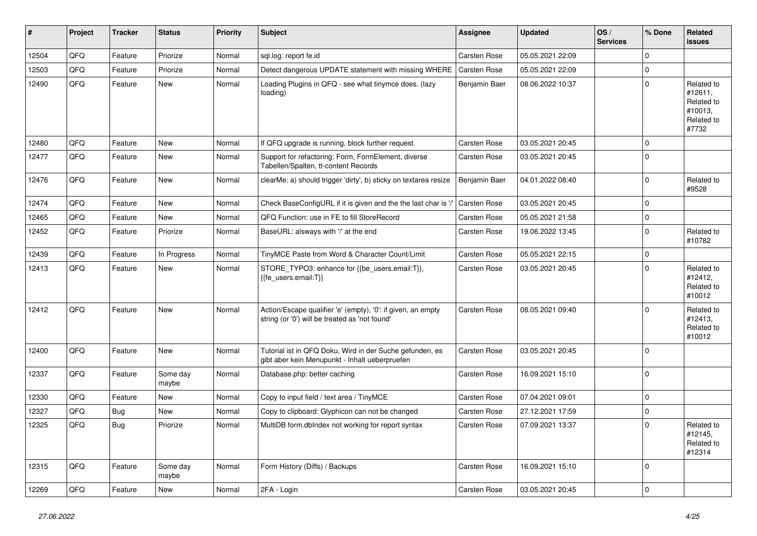| #     | Project | <b>Tracker</b> | <b>Status</b>     | <b>Priority</b> | <b>Subject</b>                                                                                                 | Assignee            | <b>Updated</b>   | OS/<br><b>Services</b> | % Done      | Related<br>issues                                                     |
|-------|---------|----------------|-------------------|-----------------|----------------------------------------------------------------------------------------------------------------|---------------------|------------------|------------------------|-------------|-----------------------------------------------------------------------|
| 12504 | QFQ     | Feature        | Priorize          | Normal          | sql.log: report fe.id                                                                                          | Carsten Rose        | 05.05.2021 22:09 |                        | $\Omega$    |                                                                       |
| 12503 | QFQ     | Feature        | Priorize          | Normal          | Detect dangerous UPDATE statement with missing WHERE                                                           | Carsten Rose        | 05.05.2021 22:09 |                        | $\Omega$    |                                                                       |
| 12490 | QFQ     | Feature        | <b>New</b>        | Normal          | Loading Plugins in QFQ - see what tinymce does. (lazy<br>loading)                                              | Benjamin Baer       | 08.06.2022 10:37 |                        | $\Omega$    | Related to<br>#12611,<br>Related to<br>#10013.<br>Related to<br>#7732 |
| 12480 | QFQ     | Feature        | New               | Normal          | If QFQ upgrade is running, block further request                                                               | Carsten Rose        | 03.05.2021 20:45 |                        | $\mathbf 0$ |                                                                       |
| 12477 | QFQ     | Feature        | New               | Normal          | Support for refactoring: Form, FormElement, diverse<br>Tabellen/Spalten, tt-content Records                    | Carsten Rose        | 03.05.2021 20:45 |                        | $\Omega$    |                                                                       |
| 12476 | QFQ     | Feature        | New               | Normal          | clearMe: a) should trigger 'dirty', b) sticky on textarea resize                                               | Benjamin Baer       | 04.01.2022 08:40 |                        | $\mathbf 0$ | Related to<br>#9528                                                   |
| 12474 | QFQ     | Feature        | New               | Normal          | Check BaseConfigURL if it is given and the the last char is '/                                                 | Carsten Rose        | 03.05.2021 20:45 |                        | $\Omega$    |                                                                       |
| 12465 | QFQ     | Feature        | New               | Normal          | QFQ Function: use in FE to fill StoreRecord                                                                    | Carsten Rose        | 05.05.2021 21:58 |                        | $\Omega$    |                                                                       |
| 12452 | QFQ     | Feature        | Priorize          | Normal          | BaseURL: alsways with '/' at the end                                                                           | <b>Carsten Rose</b> | 19.06.2022 13:45 |                        | $\Omega$    | Related to<br>#10782                                                  |
| 12439 | QFQ     | Feature        | In Progress       | Normal          | TinyMCE Paste from Word & Character Count/Limit                                                                | <b>Carsten Rose</b> | 05.05.2021 22:15 |                        | $\mathsf 0$ |                                                                       |
| 12413 | QFQ     | Feature        | New               | Normal          | STORE_TYPO3: enhance for {{be_users.email:T}},<br>{{fe users.email:T}}                                         | Carsten Rose        | 03.05.2021 20:45 |                        | $\Omega$    | Related to<br>#12412,<br>Related to<br>#10012                         |
| 12412 | QFQ     | Feature        | <b>New</b>        | Normal          | Action/Escape qualifier 'e' (empty), '0': if given, an empty<br>string (or '0') will be treated as 'not found' | <b>Carsten Rose</b> | 08.05.2021 09:40 |                        | $\Omega$    | Related to<br>#12413.<br>Related to<br>#10012                         |
| 12400 | QFQ     | Feature        | New               | Normal          | Tutorial ist in QFQ Doku, Wird in der Suche gefunden, es<br>gibt aber kein Menupunkt - Inhalt ueberpruefen     | <b>Carsten Rose</b> | 03.05.2021 20:45 |                        | 0           |                                                                       |
| 12337 | QFQ     | Feature        | Some day<br>maybe | Normal          | Database.php: better caching                                                                                   | Carsten Rose        | 16.09.2021 15:10 |                        | $\mathbf 0$ |                                                                       |
| 12330 | QFQ     | Feature        | <b>New</b>        | Normal          | Copy to input field / text area / TinyMCE                                                                      | Carsten Rose        | 07.04.2021 09:01 |                        | $\mathbf 0$ |                                                                       |
| 12327 | QFQ     | <b>Bug</b>     | New               | Normal          | Copy to clipboard: Glyphicon can not be changed                                                                | <b>Carsten Rose</b> | 27.12.2021 17:59 |                        | $\Omega$    |                                                                       |
| 12325 | QFQ     | Bug            | Priorize          | Normal          | MultiDB form.dblndex not working for report syntax                                                             | <b>Carsten Rose</b> | 07.09.2021 13:37 |                        | $\Omega$    | Related to<br>#12145,<br>Related to<br>#12314                         |
| 12315 | QFQ     | Feature        | Some day<br>maybe | Normal          | Form History (Diffs) / Backups                                                                                 | Carsten Rose        | 16.09.2021 15:10 |                        | $\Omega$    |                                                                       |
| 12269 | QFQ     | Feature        | New               | Normal          | 2FA - Login                                                                                                    | <b>Carsten Rose</b> | 03.05.2021 20:45 |                        | $\mathbf 0$ |                                                                       |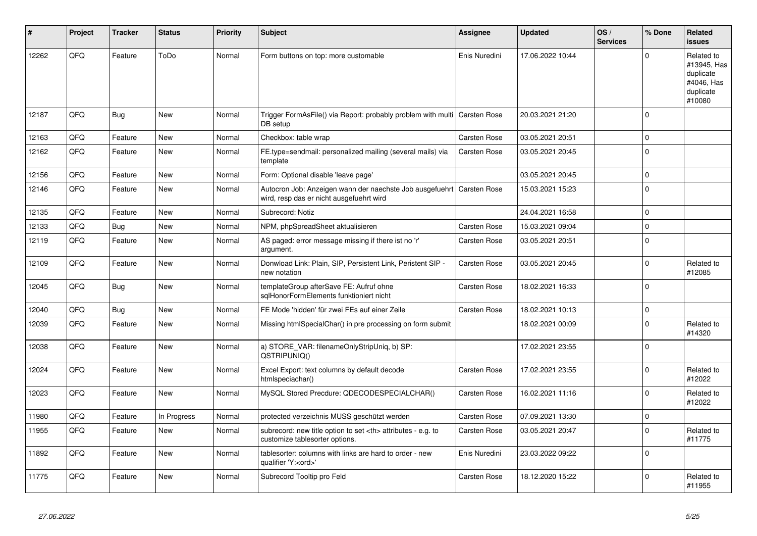| #     | Project | <b>Tracker</b> | <b>Status</b> | <b>Priority</b> | <b>Subject</b>                                                                                       | Assignee                                               | <b>Updated</b>   | OS/<br><b>Services</b> | % Done      | Related<br><b>issues</b>                                                    |                      |
|-------|---------|----------------|---------------|-----------------|------------------------------------------------------------------------------------------------------|--------------------------------------------------------|------------------|------------------------|-------------|-----------------------------------------------------------------------------|----------------------|
| 12262 | QFQ     | Feature        | ToDo          | Normal          | Form buttons on top: more customable                                                                 | Enis Nuredini                                          | 17.06.2022 10:44 |                        | $\Omega$    | Related to<br>#13945, Has<br>duplicate<br>#4046, Has<br>duplicate<br>#10080 |                      |
| 12187 | QFQ     | Bug            | <b>New</b>    | Normal          | Trigger FormAsFile() via Report: probably problem with multi<br>DB setup                             | Carsten Rose                                           | 20.03.2021 21:20 |                        | $\Omega$    |                                                                             |                      |
| 12163 | QFQ     | Feature        | New           | Normal          | Checkbox: table wrap                                                                                 | Carsten Rose                                           | 03.05.2021 20:51 |                        | $\Omega$    |                                                                             |                      |
| 12162 | QFQ     | Feature        | <b>New</b>    | Normal          | FE.type=sendmail: personalized mailing (several mails) via<br>template                               | Carsten Rose                                           | 03.05.2021 20:45 |                        | $\mathbf 0$ |                                                                             |                      |
| 12156 | QFQ     | Feature        | <b>New</b>    | Normal          | Form: Optional disable 'leave page'                                                                  |                                                        | 03.05.2021 20:45 |                        | $\Omega$    |                                                                             |                      |
| 12146 | QFQ     | Feature        | <b>New</b>    | Normal          | Autocron Job: Anzeigen wann der naechste Job ausgefuehrt<br>wird, resp das er nicht ausgefuehrt wird | <b>Carsten Rose</b>                                    | 15.03.2021 15:23 |                        | $\mathbf 0$ |                                                                             |                      |
| 12135 | QFQ     | Feature        | <b>New</b>    | Normal          | Subrecord: Notiz                                                                                     |                                                        | 24.04.2021 16:58 |                        | $\Omega$    |                                                                             |                      |
| 12133 | QFQ     | <b>Bug</b>     | <b>New</b>    | Normal          | NPM, phpSpreadSheet aktualisieren                                                                    | Carsten Rose                                           | 15.03.2021 09:04 |                        | $\Omega$    |                                                                             |                      |
| 12119 | QFQ     | Feature        | <b>New</b>    | Normal          | AS paged: error message missing if there ist no 'r'<br>argument.                                     | Carsten Rose                                           | 03.05.2021 20:51 |                        | $\Omega$    |                                                                             |                      |
| 12109 | QFQ     | Feature        | <b>New</b>    | Normal          | Donwload Link: Plain, SIP, Persistent Link, Peristent SIP -<br>new notation                          | Carsten Rose                                           | 03.05.2021 20:45 |                        | $\Omega$    | Related to<br>#12085                                                        |                      |
| 12045 | QFQ     | Bug            | <b>New</b>    | Normal          | templateGroup afterSave FE: Aufruf ohne<br>sqlHonorFormElements funktioniert nicht                   | Carsten Rose                                           | 18.02.2021 16:33 |                        | $\mathbf 0$ |                                                                             |                      |
| 12040 | QFQ     | Bug            | <b>New</b>    | Normal          | FE Mode 'hidden' für zwei FEs auf einer Zeile                                                        | Carsten Rose                                           | 18.02.2021 10:13 |                        | $\mathbf 0$ |                                                                             |                      |
| 12039 | QFQ     | Feature        | <b>New</b>    | Normal          | Missing htmlSpecialChar() in pre processing on form submit                                           |                                                        | 18.02.2021 00:09 |                        | $\Omega$    | Related to<br>#14320                                                        |                      |
| 12038 | QFQ     | Feature        | <b>New</b>    | Normal          | a) STORE VAR: filenameOnlyStripUniq, b) SP:<br>QSTRIPUNIQ()                                          |                                                        | 17.02.2021 23:55 |                        | $\Omega$    |                                                                             |                      |
| 12024 | QFQ     | Feature        | New           | Normal          | Excel Export: text columns by default decode<br>htmlspeciachar()                                     | Carsten Rose                                           | 17.02.2021 23:55 |                        | $\Omega$    | Related to<br>#12022                                                        |                      |
| 12023 | QFQ     | Feature        | <b>New</b>    | Normal          | MySQL Stored Precdure: QDECODESPECIALCHAR()                                                          | Carsten Rose                                           | 16.02.2021 11:16 |                        | $\Omega$    | Related to<br>#12022                                                        |                      |
| 11980 | QFQ     | Feature        | In Progress   | Normal          | protected verzeichnis MUSS geschützt werden                                                          | Carsten Rose                                           | 07.09.2021 13:30 |                        | $\mathbf 0$ |                                                                             |                      |
| 11955 | QFQ     | Feature        | <b>New</b>    | Normal          | subrecord: new title option to set <th> attributes - e.g. to<br/>customize tablesorter options.</th> | attributes - e.g. to<br>customize tablesorter options. | Carsten Rose     | 03.05.2021 20:47       |             | $\Omega$                                                                    | Related to<br>#11775 |
| 11892 | QFQ     | Feature        | <b>New</b>    | Normal          | tablesorter: columns with links are hard to order - new<br>qualifier 'Y: <ord>'</ord>                | Enis Nuredini                                          | 23.03.2022 09:22 |                        | $\Omega$    |                                                                             |                      |
| 11775 | QFQ     | Feature        | <b>New</b>    | Normal          | Subrecord Tooltip pro Feld                                                                           | Carsten Rose                                           | 18.12.2020 15:22 |                        | $\Omega$    | Related to<br>#11955                                                        |                      |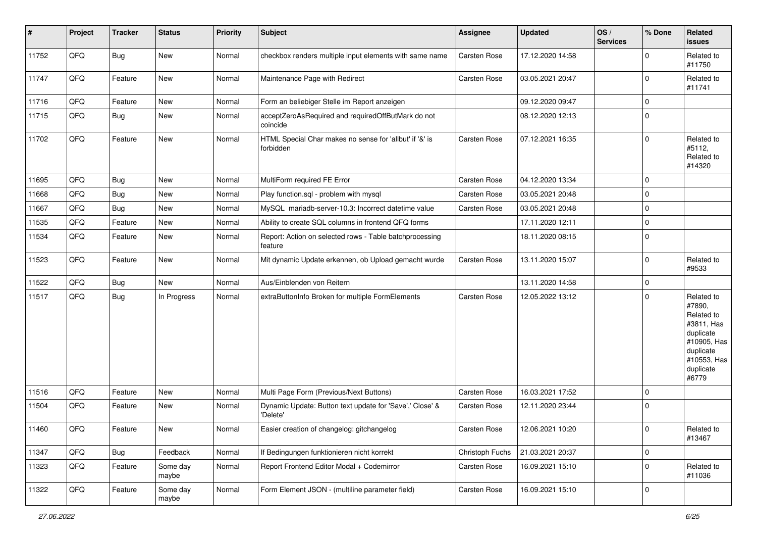| #     | Project | <b>Tracker</b> | <b>Status</b>     | <b>Priority</b> | <b>Subject</b>                                                       | Assignee        | <b>Updated</b>   | OS/<br><b>Services</b> | % Done         | Related<br>issues                                                                                                              |
|-------|---------|----------------|-------------------|-----------------|----------------------------------------------------------------------|-----------------|------------------|------------------------|----------------|--------------------------------------------------------------------------------------------------------------------------------|
| 11752 | QFQ     | <b>Bug</b>     | New               | Normal          | checkbox renders multiple input elements with same name              | Carsten Rose    | 17.12.2020 14:58 |                        | $\Omega$       | Related to<br>#11750                                                                                                           |
| 11747 | QFQ     | Feature        | New               | Normal          | Maintenance Page with Redirect                                       | Carsten Rose    | 03.05.2021 20:47 |                        | $\Omega$       | Related to<br>#11741                                                                                                           |
| 11716 | QFQ     | Feature        | New               | Normal          | Form an beliebiger Stelle im Report anzeigen                         |                 | 09.12.2020 09:47 |                        | $\Omega$       |                                                                                                                                |
| 11715 | QFQ     | <b>Bug</b>     | New               | Normal          | acceptZeroAsRequired and requiredOffButMark do not<br>coincide       |                 | 08.12.2020 12:13 |                        | $\mathbf 0$    |                                                                                                                                |
| 11702 | QFQ     | Feature        | New               | Normal          | HTML Special Char makes no sense for 'allbut' if '&' is<br>forbidden | Carsten Rose    | 07.12.2021 16:35 |                        | $\Omega$       | Related to<br>#5112,<br>Related to<br>#14320                                                                                   |
| 11695 | QFQ     | Bug            | New               | Normal          | MultiForm required FE Error                                          | Carsten Rose    | 04.12.2020 13:34 |                        | $\mathbf 0$    |                                                                                                                                |
| 11668 | QFQ     | Bug            | New               | Normal          | Play function.sql - problem with mysql                               | Carsten Rose    | 03.05.2021 20:48 |                        | $\mathbf 0$    |                                                                                                                                |
| 11667 | QFQ     | Bug            | New               | Normal          | MySQL mariadb-server-10.3: Incorrect datetime value                  | Carsten Rose    | 03.05.2021 20:48 |                        | $\mathbf 0$    |                                                                                                                                |
| 11535 | QFQ     | Feature        | New               | Normal          | Ability to create SQL columns in frontend QFQ forms                  |                 | 17.11.2020 12:11 |                        | $\mathbf 0$    |                                                                                                                                |
| 11534 | QFQ     | Feature        | New               | Normal          | Report: Action on selected rows - Table batchprocessing<br>feature   |                 | 18.11.2020 08:15 |                        | $\mathbf 0$    |                                                                                                                                |
| 11523 | QFQ     | Feature        | New               | Normal          | Mit dynamic Update erkennen, ob Upload gemacht wurde                 | Carsten Rose    | 13.11.2020 15:07 |                        | $\Omega$       | Related to<br>#9533                                                                                                            |
| 11522 | QFQ     | Bug            | New               | Normal          | Aus/Einblenden von Reitern                                           |                 | 13.11.2020 14:58 |                        | $\mathbf 0$    |                                                                                                                                |
| 11517 | QFG     | <b>Bug</b>     | In Progress       | Normal          | extraButtonInfo Broken for multiple FormElements                     | Carsten Rose    | 12.05.2022 13:12 |                        | $\Omega$       | Related to<br>#7890,<br>Related to<br>#3811, Has<br>duplicate<br>#10905, Has<br>duplicate<br>#10553, Has<br>duplicate<br>#6779 |
| 11516 | QFQ     | Feature        | New               | Normal          | Multi Page Form (Previous/Next Buttons)                              | Carsten Rose    | 16.03.2021 17:52 |                        | $\mathbf 0$    |                                                                                                                                |
| 11504 | QFQ     | Feature        | New               | Normal          | Dynamic Update: Button text update for 'Save',' Close' &<br>'Delete' | Carsten Rose    | 12.11.2020 23:44 |                        | $\Omega$       |                                                                                                                                |
| 11460 | QFG     | Feature        | New               | Normal          | Easier creation of changelog: gitchangelog                           | Carsten Rose    | 12.06.2021 10:20 |                        | $\overline{0}$ | Related to<br>#13467                                                                                                           |
| 11347 | QFQ     | <b>Bug</b>     | Feedback          | Normal          | If Bedingungen funktionieren nicht korrekt                           | Christoph Fuchs | 21.03.2021 20:37 |                        | $\mathbf 0$    |                                                                                                                                |
| 11323 | QFQ     | Feature        | Some day<br>maybe | Normal          | Report Frontend Editor Modal + Codemirror                            | Carsten Rose    | 16.09.2021 15:10 |                        | 0              | Related to<br>#11036                                                                                                           |
| 11322 | QFQ     | Feature        | Some day<br>maybe | Normal          | Form Element JSON - (multiline parameter field)                      | Carsten Rose    | 16.09.2021 15:10 |                        | 0              |                                                                                                                                |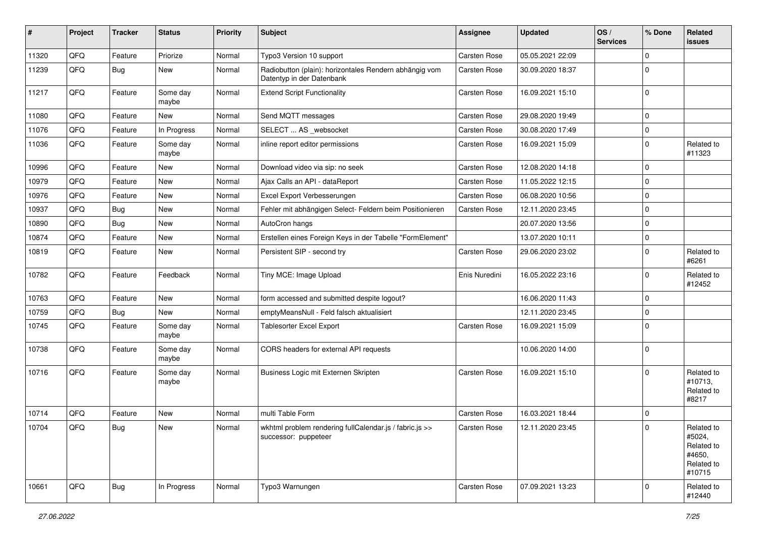| #     | Project | <b>Tracker</b> | <b>Status</b>     | <b>Priority</b> | Subject                                                                             | Assignee            | <b>Updated</b>   | OS/<br><b>Services</b> | % Done      | Related<br>issues                                                    |
|-------|---------|----------------|-------------------|-----------------|-------------------------------------------------------------------------------------|---------------------|------------------|------------------------|-------------|----------------------------------------------------------------------|
| 11320 | QFQ     | Feature        | Priorize          | Normal          | Typo3 Version 10 support                                                            | Carsten Rose        | 05.05.2021 22:09 |                        | $\Omega$    |                                                                      |
| 11239 | QFQ     | <b>Bug</b>     | New               | Normal          | Radiobutton (plain): horizontales Rendern abhängig vom<br>Datentyp in der Datenbank | Carsten Rose        | 30.09.2020 18:37 |                        | $\Omega$    |                                                                      |
| 11217 | QFQ     | Feature        | Some day<br>maybe | Normal          | <b>Extend Script Functionality</b>                                                  | <b>Carsten Rose</b> | 16.09.2021 15:10 |                        | $\mathbf 0$ |                                                                      |
| 11080 | QFQ     | Feature        | <b>New</b>        | Normal          | Send MQTT messages                                                                  | Carsten Rose        | 29.08.2020 19:49 |                        | 0           |                                                                      |
| 11076 | QFQ     | Feature        | In Progress       | Normal          | SELECT  AS _websocket                                                               | Carsten Rose        | 30.08.2020 17:49 |                        | 0           |                                                                      |
| 11036 | QFQ     | Feature        | Some day<br>maybe | Normal          | inline report editor permissions                                                    | Carsten Rose        | 16.09.2021 15:09 |                        | 0           | Related to<br>#11323                                                 |
| 10996 | QFQ     | Feature        | New               | Normal          | Download video via sip: no seek                                                     | Carsten Rose        | 12.08.2020 14:18 |                        | $\mathbf 0$ |                                                                      |
| 10979 | QFQ     | Feature        | <b>New</b>        | Normal          | Ajax Calls an API - dataReport                                                      | Carsten Rose        | 11.05.2022 12:15 |                        | $\Omega$    |                                                                      |
| 10976 | QFQ     | Feature        | <b>New</b>        | Normal          | Excel Export Verbesserungen                                                         | Carsten Rose        | 06.08.2020 10:56 |                        | $\mathbf 0$ |                                                                      |
| 10937 | QFQ     | <b>Bug</b>     | New               | Normal          | Fehler mit abhängigen Select- Feldern beim Positionieren                            | Carsten Rose        | 12.11.2020 23:45 |                        | $\Omega$    |                                                                      |
| 10890 | QFQ     | <b>Bug</b>     | New               | Normal          | AutoCron hangs                                                                      |                     | 20.07.2020 13:56 |                        | $\Omega$    |                                                                      |
| 10874 | QFQ     | Feature        | New               | Normal          | Erstellen eines Foreign Keys in der Tabelle "FormElement"                           |                     | 13.07.2020 10:11 |                        | 0           |                                                                      |
| 10819 | QFQ     | Feature        | New               | Normal          | Persistent SIP - second try                                                         | <b>Carsten Rose</b> | 29.06.2020 23:02 |                        | $\Omega$    | Related to<br>#6261                                                  |
| 10782 | QFQ     | Feature        | Feedback          | Normal          | Tiny MCE: Image Upload                                                              | Enis Nuredini       | 16.05.2022 23:16 |                        | $\Omega$    | Related to<br>#12452                                                 |
| 10763 | QFQ     | Feature        | <b>New</b>        | Normal          | form accessed and submitted despite logout?                                         |                     | 16.06.2020 11:43 |                        | $\mathbf 0$ |                                                                      |
| 10759 | QFQ     | <b>Bug</b>     | New               | Normal          | emptyMeansNull - Feld falsch aktualisiert                                           |                     | 12.11.2020 23:45 |                        | $\Omega$    |                                                                      |
| 10745 | QFQ     | Feature        | Some day<br>maybe | Normal          | <b>Tablesorter Excel Export</b>                                                     | <b>Carsten Rose</b> | 16.09.2021 15:09 |                        | $\Omega$    |                                                                      |
| 10738 | QFQ     | Feature        | Some day<br>maybe | Normal          | CORS headers for external API requests                                              |                     | 10.06.2020 14:00 |                        | $\mathbf 0$ |                                                                      |
| 10716 | QFQ     | Feature        | Some day<br>maybe | Normal          | Business Logic mit Externen Skripten                                                | Carsten Rose        | 16.09.2021 15:10 |                        | $\mathbf 0$ | Related to<br>#10713,<br>Related to<br>#8217                         |
| 10714 | QFQ     | Feature        | <b>New</b>        | Normal          | multi Table Form                                                                    | <b>Carsten Rose</b> | 16.03.2021 18:44 |                        | 0           |                                                                      |
| 10704 | QFQ     | Bug            | New               | Normal          | wkhtml problem rendering fullCalendar.js / fabric.js >><br>successor: puppeteer     | Carsten Rose        | 12.11.2020 23:45 |                        | $\Omega$    | Related to<br>#5024,<br>Related to<br>#4650,<br>Related to<br>#10715 |
| 10661 | QFQ     | <b>Bug</b>     | In Progress       | Normal          | Typo3 Warnungen                                                                     | Carsten Rose        | 07.09.2021 13:23 |                        | 0           | Related to<br>#12440                                                 |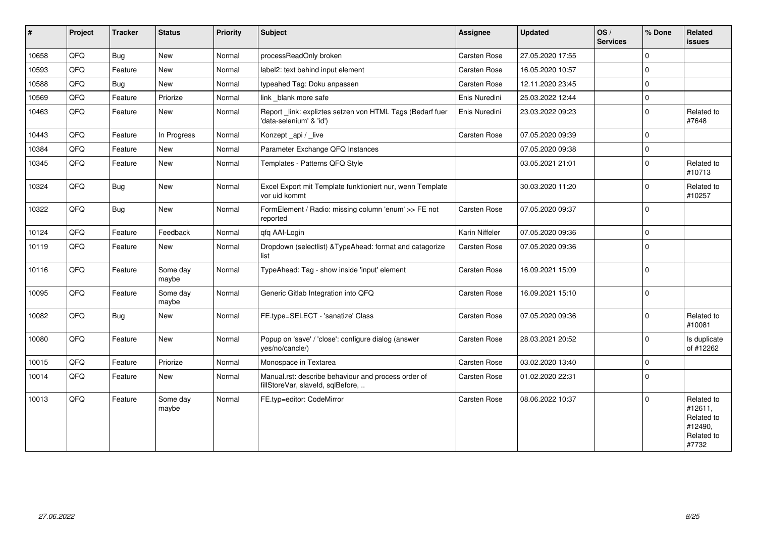| #     | Project | <b>Tracker</b> | <b>Status</b>     | <b>Priority</b> | <b>Subject</b>                                                                           | <b>Assignee</b>     | <b>Updated</b>   | OS/<br><b>Services</b> | % Done      | Related<br><b>issues</b>                                              |
|-------|---------|----------------|-------------------|-----------------|------------------------------------------------------------------------------------------|---------------------|------------------|------------------------|-------------|-----------------------------------------------------------------------|
| 10658 | QFQ     | <b>Bug</b>     | New               | Normal          | processReadOnly broken                                                                   | Carsten Rose        | 27.05.2020 17:55 |                        | $\mathbf 0$ |                                                                       |
| 10593 | QFQ     | Feature        | New               | Normal          | label2: text behind input element                                                        | Carsten Rose        | 16.05.2020 10:57 |                        | $\mathbf 0$ |                                                                       |
| 10588 | QFQ     | Bug            | <b>New</b>        | Normal          | typeahed Tag: Doku anpassen                                                              | Carsten Rose        | 12.11.2020 23:45 |                        | $\mathbf 0$ |                                                                       |
| 10569 | QFQ     | Feature        | Priorize          | Normal          | link blank more safe                                                                     | Enis Nuredini       | 25.03.2022 12:44 |                        | $\pmb{0}$   |                                                                       |
| 10463 | QFQ     | Feature        | New               | Normal          | Report _link: expliztes setzen von HTML Tags (Bedarf fuer<br>'data-selenium' & 'id')     | Enis Nuredini       | 23.03.2022 09:23 |                        | $\mathbf 0$ | Related to<br>#7648                                                   |
| 10443 | QFQ     | Feature        | In Progress       | Normal          | Konzept_api / _live                                                                      | Carsten Rose        | 07.05.2020 09:39 |                        | $\mathbf 0$ |                                                                       |
| 10384 | QFQ     | Feature        | New               | Normal          | Parameter Exchange QFQ Instances                                                         |                     | 07.05.2020 09:38 |                        | $\pmb{0}$   |                                                                       |
| 10345 | QFQ     | Feature        | New               | Normal          | Templates - Patterns QFQ Style                                                           |                     | 03.05.2021 21:01 |                        | $\mathbf 0$ | Related to<br>#10713                                                  |
| 10324 | QFG     | <b>Bug</b>     | New               | Normal          | Excel Export mit Template funktioniert nur, wenn Template<br>vor uid kommt               |                     | 30.03.2020 11:20 |                        | $\mathbf 0$ | Related to<br>#10257                                                  |
| 10322 | QFQ     | <b>Bug</b>     | <b>New</b>        | Normal          | FormElement / Radio: missing column 'enum' >> FE not<br>reported                         | <b>Carsten Rose</b> | 07.05.2020 09:37 |                        | $\mathbf 0$ |                                                                       |
| 10124 | QFQ     | Feature        | Feedback          | Normal          | qfq AAI-Login                                                                            | Karin Niffeler      | 07.05.2020 09:36 |                        | $\pmb{0}$   |                                                                       |
| 10119 | QFQ     | Feature        | New               | Normal          | Dropdown (selectlist) & TypeAhead: format and catagorize<br>list                         | Carsten Rose        | 07.05.2020 09:36 |                        | $\mathbf 0$ |                                                                       |
| 10116 | QFQ     | Feature        | Some day<br>maybe | Normal          | TypeAhead: Tag - show inside 'input' element                                             | Carsten Rose        | 16.09.2021 15:09 |                        | $\Omega$    |                                                                       |
| 10095 | QFQ     | Feature        | Some day<br>maybe | Normal          | Generic Gitlab Integration into QFQ                                                      | Carsten Rose        | 16.09.2021 15:10 |                        | $\Omega$    |                                                                       |
| 10082 | QFQ     | <b>Bug</b>     | New               | Normal          | FE.type=SELECT - 'sanatize' Class                                                        | Carsten Rose        | 07.05.2020 09:36 |                        | $\Omega$    | Related to<br>#10081                                                  |
| 10080 | QFQ     | Feature        | <b>New</b>        | Normal          | Popup on 'save' / 'close': configure dialog (answer<br>yes/no/cancle/)                   | Carsten Rose        | 28.03.2021 20:52 |                        | $\Omega$    | Is duplicate<br>of #12262                                             |
| 10015 | QFQ     | Feature        | Priorize          | Normal          | Monospace in Textarea                                                                    | Carsten Rose        | 03.02.2020 13:40 |                        | $\mathbf 0$ |                                                                       |
| 10014 | QFQ     | Feature        | <b>New</b>        | Normal          | Manual.rst: describe behaviour and process order of<br>fillStoreVar, slaveId, sqlBefore, | <b>Carsten Rose</b> | 01.02.2020 22:31 |                        | $\mathbf 0$ |                                                                       |
| 10013 | QFQ     | Feature        | Some day<br>maybe | Normal          | FE.typ=editor: CodeMirror                                                                | <b>Carsten Rose</b> | 08.06.2022 10:37 |                        | $\mathbf 0$ | Related to<br>#12611,<br>Related to<br>#12490.<br>Related to<br>#7732 |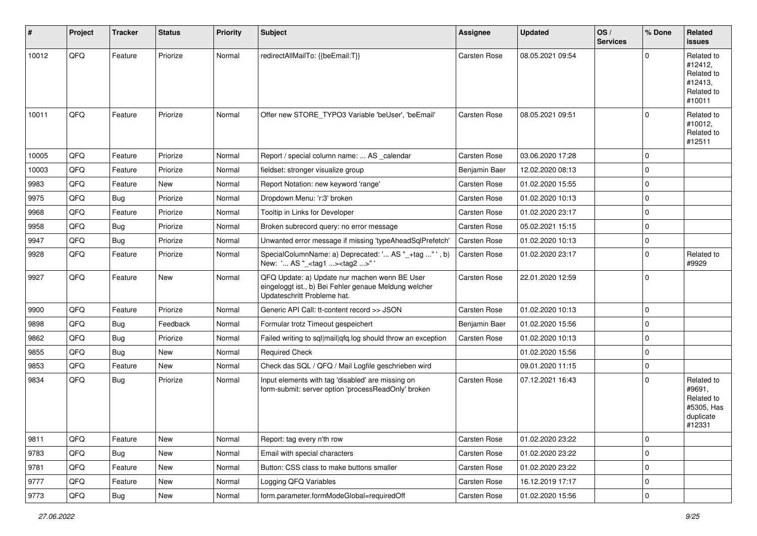| #     | Project | <b>Tracker</b> | <b>Status</b> | <b>Priority</b> | Subject                                                                                                                               | <b>Assignee</b>     | <b>Updated</b>   | OS/<br><b>Services</b> | % Done      | Related<br>issues                                                       |
|-------|---------|----------------|---------------|-----------------|---------------------------------------------------------------------------------------------------------------------------------------|---------------------|------------------|------------------------|-------------|-------------------------------------------------------------------------|
| 10012 | QFQ     | Feature        | Priorize      | Normal          | redirectAllMailTo: {{beEmail:T}}                                                                                                      | <b>Carsten Rose</b> | 08.05.2021 09:54 |                        | $\Omega$    | Related to<br>#12412,<br>Related to<br>#12413,<br>Related to<br>#10011  |
| 10011 | QFQ     | Feature        | Priorize      | Normal          | Offer new STORE_TYPO3 Variable 'beUser', 'beEmail'                                                                                    | <b>Carsten Rose</b> | 08.05.2021 09:51 |                        | $\Omega$    | Related to<br>#10012,<br>Related to<br>#12511                           |
| 10005 | QFQ     | Feature        | Priorize      | Normal          | Report / special column name:  AS _calendar                                                                                           | Carsten Rose        | 03.06.2020 17:28 |                        | $\mathbf 0$ |                                                                         |
| 10003 | QFQ     | Feature        | Priorize      | Normal          | fieldset: stronger visualize group                                                                                                    | Benjamin Baer       | 12.02.2020 08:13 |                        | $\Omega$    |                                                                         |
| 9983  | QFQ     | Feature        | New           | Normal          | Report Notation: new keyword 'range'                                                                                                  | Carsten Rose        | 01.02.2020 15:55 |                        | $\mathbf 0$ |                                                                         |
| 9975  | QFQ     | Bug            | Priorize      | Normal          | Dropdown Menu: 'r:3' broken                                                                                                           | Carsten Rose        | 01.02.2020 10:13 |                        | $\Omega$    |                                                                         |
| 9968  | QFQ     | Feature        | Priorize      | Normal          | Tooltip in Links for Developer                                                                                                        | Carsten Rose        | 01.02.2020 23:17 |                        | $\Omega$    |                                                                         |
| 9958  | QFQ     | Bug            | Priorize      | Normal          | Broken subrecord query: no error message                                                                                              | Carsten Rose        | 05.02.2021 15:15 |                        | $\mathbf 0$ |                                                                         |
| 9947  | QFQ     | Bug            | Priorize      | Normal          | Unwanted error message if missing 'typeAheadSqlPrefetch'                                                                              | Carsten Rose        | 01.02.2020 10:13 |                        | $\mathbf 0$ |                                                                         |
| 9928  | QFQ     | Feature        | Priorize      | Normal          | SpecialColumnName: a) Deprecated: ' AS "_+tag "', b)<br>New: ' AS "_ <tag1><tag2>"'</tag2></tag1>                                     | Carsten Rose        | 01.02.2020 23:17 |                        | $\Omega$    | Related to<br>#9929                                                     |
| 9927  | QFQ     | Feature        | New           | Normal          | QFQ Update: a) Update nur machen wenn BE User<br>eingeloggt ist., b) Bei Fehler genaue Meldung welcher<br>Updateschritt Probleme hat. | Carsten Rose        | 22.01.2020 12:59 |                        | $\mathbf 0$ |                                                                         |
| 9900  | QFQ     | Feature        | Priorize      | Normal          | Generic API Call: tt-content record >> JSON                                                                                           | Carsten Rose        | 01.02.2020 10:13 |                        | $\mathbf 0$ |                                                                         |
| 9898  | QFQ     | Bug            | Feedback      | Normal          | Formular trotz Timeout gespeichert                                                                                                    | Benjamin Baer       | 01.02.2020 15:56 |                        | $\mathbf 0$ |                                                                         |
| 9862  | QFQ     | <b>Bug</b>     | Priorize      | Normal          | Failed writing to sql mail qfq.log should throw an exception                                                                          | Carsten Rose        | 01.02.2020 10:13 |                        | $\Omega$    |                                                                         |
| 9855  | QFQ     | <b>Bug</b>     | New           | Normal          | <b>Required Check</b>                                                                                                                 |                     | 01.02.2020 15:56 |                        | $\Omega$    |                                                                         |
| 9853  | QFQ     | Feature        | New           | Normal          | Check das SQL / QFQ / Mail Logfile geschrieben wird                                                                                   |                     | 09.01.2020 11:15 |                        | $\Omega$    |                                                                         |
| 9834  | QFQ     | Bug            | Priorize      | Normal          | Input elements with tag 'disabled' are missing on<br>form-submit: server option 'processReadOnly' broken                              | Carsten Rose        | 07.12.2021 16:43 |                        | $\Omega$    | Related to<br>#9691,<br>Related to<br>#5305, Has<br>duplicate<br>#12331 |
| 9811  | QFQ     | Feature        | New           | Normal          | Report: tag every n'th row                                                                                                            | Carsten Rose        | 01.02.2020 23:22 |                        | 0           |                                                                         |
| 9783  | QFQ     | <b>Bug</b>     | New           | Normal          | Email with special characters                                                                                                         | Carsten Rose        | 01.02.2020 23:22 |                        | 0           |                                                                         |
| 9781  | QFQ     | Feature        | New           | Normal          | Button: CSS class to make buttons smaller                                                                                             | Carsten Rose        | 01.02.2020 23:22 |                        | $\mathbf 0$ |                                                                         |
| 9777  | QFQ     | Feature        | New           | Normal          | Logging QFQ Variables                                                                                                                 | Carsten Rose        | 16.12.2019 17:17 |                        | 0           |                                                                         |
| 9773  | QFQ     | Bug            | New           | Normal          | form.parameter.formModeGlobal=requiredOff                                                                                             | Carsten Rose        | 01.02.2020 15:56 |                        | $\pmb{0}$   |                                                                         |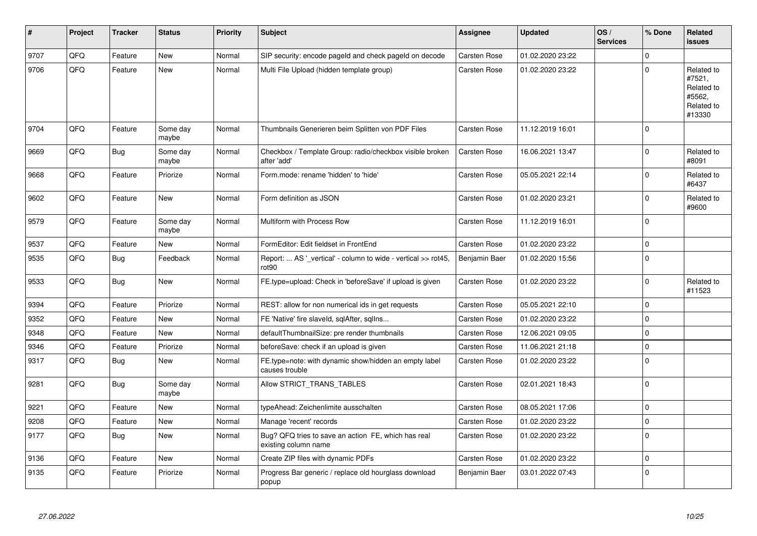| #    | Project | <b>Tracker</b> | <b>Status</b>     | <b>Priority</b> | <b>Subject</b>                                                                     | Assignee            | <b>Updated</b>   | OS/<br><b>Services</b> | % Done      | Related<br><b>issues</b>                                             |
|------|---------|----------------|-------------------|-----------------|------------------------------------------------------------------------------------|---------------------|------------------|------------------------|-------------|----------------------------------------------------------------------|
| 9707 | QFQ     | Feature        | <b>New</b>        | Normal          | SIP security: encode pageld and check pageld on decode                             | Carsten Rose        | 01.02.2020 23:22 |                        | $\Omega$    |                                                                      |
| 9706 | QFQ     | Feature        | <b>New</b>        | Normal          | Multi File Upload (hidden template group)                                          | <b>Carsten Rose</b> | 01.02.2020 23:22 |                        | $\Omega$    | Related to<br>#7521,<br>Related to<br>#5562,<br>Related to<br>#13330 |
| 9704 | QFQ     | Feature        | Some day<br>maybe | Normal          | Thumbnails Generieren beim Splitten von PDF Files                                  | <b>Carsten Rose</b> | 11.12.2019 16:01 |                        | $\Omega$    |                                                                      |
| 9669 | QFQ     | <b>Bug</b>     | Some day<br>maybe | Normal          | Checkbox / Template Group: radio/checkbox visible broken<br>after 'add'            | Carsten Rose        | 16.06.2021 13:47 |                        | $\mathbf 0$ | Related to<br>#8091                                                  |
| 9668 | QFQ     | Feature        | Priorize          | Normal          | Form.mode: rename 'hidden' to 'hide'                                               | Carsten Rose        | 05.05.2021 22:14 |                        | $\Omega$    | Related to<br>#6437                                                  |
| 9602 | QFQ     | Feature        | <b>New</b>        | Normal          | Form definition as JSON                                                            | <b>Carsten Rose</b> | 01.02.2020 23:21 |                        | $\mathbf 0$ | Related to<br>#9600                                                  |
| 9579 | QFQ     | Feature        | Some day<br>maybe | Normal          | Multiform with Process Row                                                         | <b>Carsten Rose</b> | 11.12.2019 16:01 |                        | $\Omega$    |                                                                      |
| 9537 | QFQ     | Feature        | <b>New</b>        | Normal          | FormEditor: Edit fieldset in FrontEnd                                              | Carsten Rose        | 01.02.2020 23:22 |                        | $\Omega$    |                                                                      |
| 9535 | QFQ     | <b>Bug</b>     | Feedback          | Normal          | Report:  AS ' vertical' - column to wide - vertical >> rot45,<br>rot <sub>90</sub> | Benjamin Baer       | 01.02.2020 15:56 |                        | $\mathbf 0$ |                                                                      |
| 9533 | QFQ     | <b>Bug</b>     | <b>New</b>        | Normal          | FE.type=upload: Check in 'beforeSave' if upload is given                           | <b>Carsten Rose</b> | 01.02.2020 23:22 |                        | $\mathbf 0$ | Related to<br>#11523                                                 |
| 9394 | QFQ     | Feature        | Priorize          | Normal          | REST: allow for non numerical ids in get requests                                  | <b>Carsten Rose</b> | 05.05.2021 22:10 |                        | $\mathbf 0$ |                                                                      |
| 9352 | QFQ     | Feature        | <b>New</b>        | Normal          | FE 'Native' fire slaveld, sqlAfter, sqlIns                                         | <b>Carsten Rose</b> | 01.02.2020 23:22 |                        | $\mathbf 0$ |                                                                      |
| 9348 | QFQ     | Feature        | <b>New</b>        | Normal          | defaultThumbnailSize: pre render thumbnails                                        | <b>Carsten Rose</b> | 12.06.2021 09:05 |                        | $\mathbf 0$ |                                                                      |
| 9346 | QFQ     | Feature        | Priorize          | Normal          | beforeSave: check if an upload is given                                            | <b>Carsten Rose</b> | 11.06.2021 21:18 |                        | $\mathbf 0$ |                                                                      |
| 9317 | QFQ     | <b>Bug</b>     | <b>New</b>        | Normal          | FE.type=note: with dynamic show/hidden an empty label<br>causes trouble            | <b>Carsten Rose</b> | 01.02.2020 23:22 |                        | $\mathbf 0$ |                                                                      |
| 9281 | QFQ     | Bug            | Some day<br>maybe | Normal          | Allow STRICT_TRANS_TABLES                                                          | <b>Carsten Rose</b> | 02.01.2021 18:43 |                        | $\Omega$    |                                                                      |
| 9221 | QFQ     | Feature        | <b>New</b>        | Normal          | typeAhead: Zeichenlimite ausschalten                                               | <b>Carsten Rose</b> | 08.05.2021 17:06 |                        | $\Omega$    |                                                                      |
| 9208 | QFQ     | Feature        | <b>New</b>        | Normal          | Manage 'recent' records                                                            | <b>Carsten Rose</b> | 01.02.2020 23:22 |                        | $\mathbf 0$ |                                                                      |
| 9177 | QFQ     | <b>Bug</b>     | <b>New</b>        | Normal          | Bug? QFQ tries to save an action FE, which has real<br>existing column name        | Carsten Rose        | 01.02.2020 23:22 |                        | $\Omega$    |                                                                      |
| 9136 | QFQ     | Feature        | <b>New</b>        | Normal          | Create ZIP files with dynamic PDFs                                                 | Carsten Rose        | 01.02.2020 23:22 |                        | $\Omega$    |                                                                      |
| 9135 | QFQ     | Feature        | Priorize          | Normal          | Progress Bar generic / replace old hourglass download<br>popup                     | Benjamin Baer       | 03.01.2022 07:43 |                        | $\mathbf 0$ |                                                                      |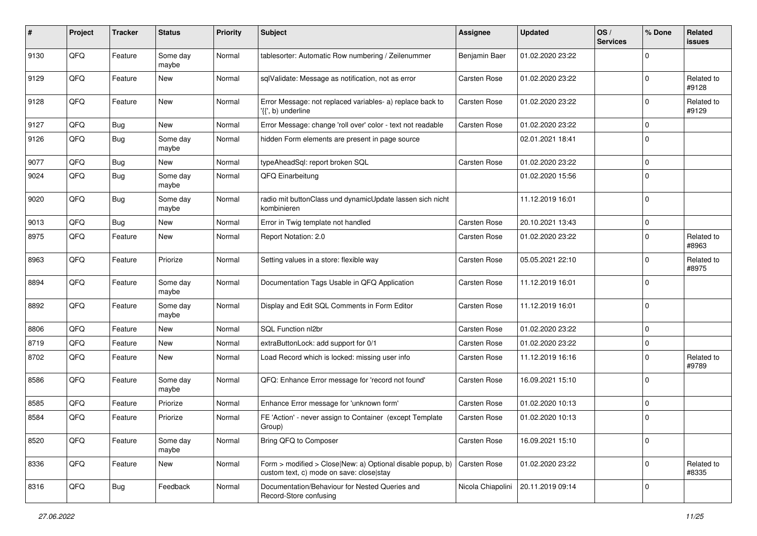| #    | Project | <b>Tracker</b> | <b>Status</b>     | <b>Priority</b> | <b>Subject</b>                                                                                         | Assignee          | <b>Updated</b>   | OS/<br><b>Services</b> | % Done      | Related<br>issues   |
|------|---------|----------------|-------------------|-----------------|--------------------------------------------------------------------------------------------------------|-------------------|------------------|------------------------|-------------|---------------------|
| 9130 | QFQ     | Feature        | Some day<br>maybe | Normal          | tablesorter: Automatic Row numbering / Zeilenummer                                                     | Benjamin Baer     | 01.02.2020 23:22 |                        | $\Omega$    |                     |
| 9129 | QFQ     | Feature        | New               | Normal          | sqlValidate: Message as notification, not as error                                                     | Carsten Rose      | 01.02.2020 23:22 |                        | $\Omega$    | Related to<br>#9128 |
| 9128 | QFQ     | Feature        | New               | Normal          | Error Message: not replaced variables- a) replace back to<br>$\langle \{ \}$ , b) underline            | Carsten Rose      | 01.02.2020 23:22 |                        | 0           | Related to<br>#9129 |
| 9127 | QFQ     | Bug            | New               | Normal          | Error Message: change 'roll over' color - text not readable                                            | Carsten Rose      | 01.02.2020 23:22 |                        | 0           |                     |
| 9126 | QFQ     | Bug            | Some day<br>maybe | Normal          | hidden Form elements are present in page source                                                        |                   | 02.01.2021 18:41 |                        | $\Omega$    |                     |
| 9077 | QFQ     | Bug            | New               | Normal          | typeAheadSql: report broken SQL                                                                        | Carsten Rose      | 01.02.2020 23:22 |                        | $\Omega$    |                     |
| 9024 | QFQ     | <b>Bug</b>     | Some day<br>maybe | Normal          | QFQ Einarbeitung                                                                                       |                   | 01.02.2020 15:56 |                        | $\Omega$    |                     |
| 9020 | QFQ     | Bug            | Some day<br>maybe | Normal          | radio mit buttonClass und dynamicUpdate lassen sich nicht<br>kombinieren                               |                   | 11.12.2019 16:01 |                        | $\Omega$    |                     |
| 9013 | QFQ     | Bug            | New               | Normal          | Error in Twig template not handled                                                                     | Carsten Rose      | 20.10.2021 13:43 |                        | 0           |                     |
| 8975 | QFQ     | Feature        | New               | Normal          | Report Notation: 2.0                                                                                   | Carsten Rose      | 01.02.2020 23:22 |                        | $\Omega$    | Related to<br>#8963 |
| 8963 | QFQ     | Feature        | Priorize          | Normal          | Setting values in a store: flexible way                                                                | Carsten Rose      | 05.05.2021 22:10 |                        | $\Omega$    | Related to<br>#8975 |
| 8894 | QFQ     | Feature        | Some day<br>maybe | Normal          | Documentation Tags Usable in QFQ Application                                                           | Carsten Rose      | 11.12.2019 16:01 |                        | $\mathbf 0$ |                     |
| 8892 | QFQ     | Feature        | Some day<br>maybe | Normal          | Display and Edit SQL Comments in Form Editor                                                           | Carsten Rose      | 11.12.2019 16:01 |                        | $\Omega$    |                     |
| 8806 | QFQ     | Feature        | <b>New</b>        | Normal          | SQL Function nl2br                                                                                     | Carsten Rose      | 01.02.2020 23:22 |                        | $\Omega$    |                     |
| 8719 | QFQ     | Feature        | New               | Normal          | extraButtonLock: add support for 0/1                                                                   | Carsten Rose      | 01.02.2020 23:22 |                        | $\mathbf 0$ |                     |
| 8702 | QFQ     | Feature        | <b>New</b>        | Normal          | Load Record which is locked: missing user info                                                         | Carsten Rose      | 11.12.2019 16:16 |                        | $\Omega$    | Related to<br>#9789 |
| 8586 | QFQ     | Feature        | Some day<br>maybe | Normal          | QFQ: Enhance Error message for 'record not found'                                                      | Carsten Rose      | 16.09.2021 15:10 |                        | $\Omega$    |                     |
| 8585 | QFQ     | Feature        | Priorize          | Normal          | Enhance Error message for 'unknown form'                                                               | Carsten Rose      | 01.02.2020 10:13 |                        | $\Omega$    |                     |
| 8584 | QFQ     | Feature        | Priorize          | Normal          | FE 'Action' - never assign to Container (except Template<br>Group)                                     | Carsten Rose      | 01.02.2020 10:13 |                        | 0           |                     |
| 8520 | QFQ     | Feature        | Some day<br>maybe | Normal          | Bring QFQ to Composer                                                                                  | Carsten Rose      | 16.09.2021 15:10 |                        | $\mathbf 0$ |                     |
| 8336 | QFQ     | Feature        | New               | Normal          | Form > modified > Close New: a) Optional disable popup, b)<br>custom text, c) mode on save: close stay | Carsten Rose      | 01.02.2020 23:22 |                        | 0           | Related to<br>#8335 |
| 8316 | QFQ     | <b>Bug</b>     | Feedback          | Normal          | Documentation/Behaviour for Nested Queries and<br>Record-Store confusing                               | Nicola Chiapolini | 20.11.2019 09:14 |                        | 0           |                     |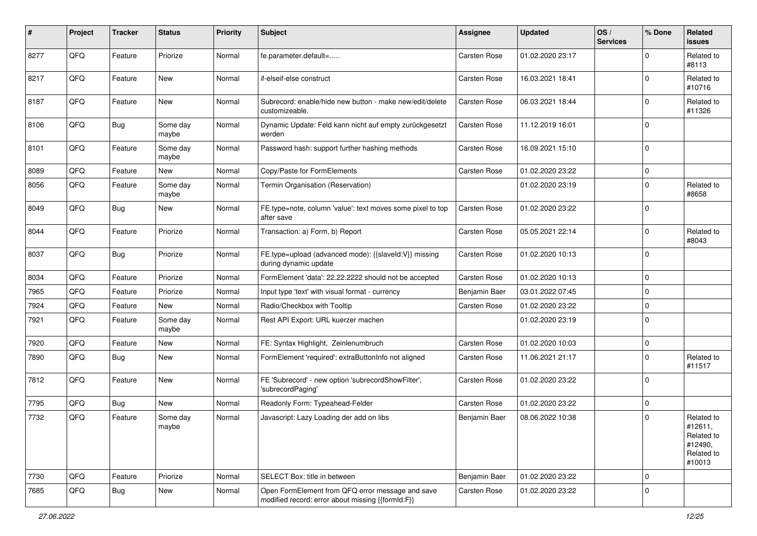| #    | Project | <b>Tracker</b> | <b>Status</b>       | <b>Priority</b> | Subject                                                                                               | <b>Assignee</b> | <b>Updated</b>   | OS/<br><b>Services</b> | % Done      | Related<br>issues                                                      |
|------|---------|----------------|---------------------|-----------------|-------------------------------------------------------------------------------------------------------|-----------------|------------------|------------------------|-------------|------------------------------------------------------------------------|
| 8277 | QFQ     | Feature        | Priorize            | Normal          | fe.parameter.default=                                                                                 | Carsten Rose    | 01.02.2020 23:17 |                        | $\Omega$    | Related to<br>#8113                                                    |
| 8217 | QFQ     | Feature        | New                 | Normal          | if-elseif-else construct                                                                              | Carsten Rose    | 16.03.2021 18:41 |                        | $\Omega$    | Related to<br>#10716                                                   |
| 8187 | QFQ     | Feature        | <b>New</b>          | Normal          | Subrecord: enable/hide new button - make new/edit/delete<br>customizeable.                            | Carsten Rose    | 06.03.2021 18:44 |                        | $\Omega$    | Related to<br>#11326                                                   |
| 8106 | QFQ     | <b>Bug</b>     | Some day<br>maybe   | Normal          | Dynamic Update: Feld kann nicht auf empty zurückgesetzt<br>werden                                     | Carsten Rose    | 11.12.2019 16:01 |                        | $\Omega$    |                                                                        |
| 8101 | QFQ     | Feature        | Some day<br>maybe   | Normal          | Password hash: support further hashing methods                                                        | Carsten Rose    | 16.09.2021 15:10 |                        | $\Omega$    |                                                                        |
| 8089 | QFQ     | Feature        | New                 | Normal          | Copy/Paste for FormElements                                                                           | Carsten Rose    | 01.02.2020 23:22 |                        | $\mathbf 0$ |                                                                        |
| 8056 | QFQ     | Feature        | Some day<br>maybe   | Normal          | Termin Organisation (Reservation)                                                                     |                 | 01.02.2020 23:19 |                        | 0           | Related to<br>#8658                                                    |
| 8049 | QFQ     | <b>Bug</b>     | New                 | Normal          | FE.type=note, column 'value': text moves some pixel to top<br>after save                              | Carsten Rose    | 01.02.2020 23:22 |                        | $\mathbf 0$ |                                                                        |
| 8044 | QFQ     | Feature        | Priorize            | Normal          | Transaction: a) Form, b) Report                                                                       | Carsten Rose    | 05.05.2021 22:14 |                        | $\Omega$    | Related to<br>#8043                                                    |
| 8037 | QFQ     | <b>Bug</b>     | Priorize            | Normal          | FE.type=upload (advanced mode): {{slaveId:V}} missing<br>during dynamic update                        | Carsten Rose    | 01.02.2020 10:13 |                        | $\Omega$    |                                                                        |
| 8034 | QFQ     | Feature        | Priorize            | Normal          | FormElement 'data': 22.22.2222 should not be accepted                                                 | Carsten Rose    | 01.02.2020 10:13 |                        | $\mathbf 0$ |                                                                        |
| 7965 | QFQ     | Feature        | Priorize            | Normal          | Input type 'text' with visual format - currency                                                       | Benjamin Baer   | 03.01.2022 07:45 |                        | $\mathbf 0$ |                                                                        |
| 7924 | QFQ     | Feature        | New                 | Normal          | Radio/Checkbox with Tooltip                                                                           | Carsten Rose    | 01.02.2020 23:22 |                        | $\mathbf 0$ |                                                                        |
| 7921 | QFQ     | Feature        | Some day<br>maybe   | Normal          | Rest API Export: URL kuerzer machen                                                                   |                 | 01.02.2020 23:19 |                        | $\Omega$    |                                                                        |
| 7920 | QFQ     | Feature        | New                 | Normal          | FE: Syntax Highlight, Zeinlenumbruch                                                                  | Carsten Rose    | 01.02.2020 10:03 |                        | $\mathbf 0$ |                                                                        |
| 7890 | QFQ     | Bug            | <b>New</b>          | Normal          | FormElement 'required': extraButtonInfo not aligned                                                   | Carsten Rose    | 11.06.2021 21:17 |                        | $\Omega$    | Related to<br>#11517                                                   |
| 7812 | QFQ     | Feature        | New                 | Normal          | FE 'Subrecord' - new option 'subrecordShowFilter',<br>'subrecordPaging'                               | Carsten Rose    | 01.02.2020 23:22 |                        | l 0         |                                                                        |
| 7795 | QFQ     | <b>Bug</b>     | <b>New</b>          | Normal          | Readonly Form: Typeahead-Felder                                                                       | Carsten Rose    | 01.02.2020 23:22 |                        | $\mathbf 0$ |                                                                        |
| 7732 | QFQ     | Feature        | Some day<br>  maybe | Normal          | Javascript: Lazy Loading der add on libs                                                              | Benjamin Baer   | 08.06.2022 10:38 |                        | $\Omega$    | Related to<br>#12611.<br>Related to<br>#12490,<br>Related to<br>#10013 |
| 7730 | QFQ     | Feature        | Priorize            | Normal          | SELECT Box: title in between                                                                          | Benjamin Baer   | 01.02.2020 23:22 |                        | l 0         |                                                                        |
| 7685 | QFQ     | <b>Bug</b>     | New                 | Normal          | Open FormElement from QFQ error message and save<br>modified record: error about missing {{formId:F}} | Carsten Rose    | 01.02.2020 23:22 |                        | $\mathbf 0$ |                                                                        |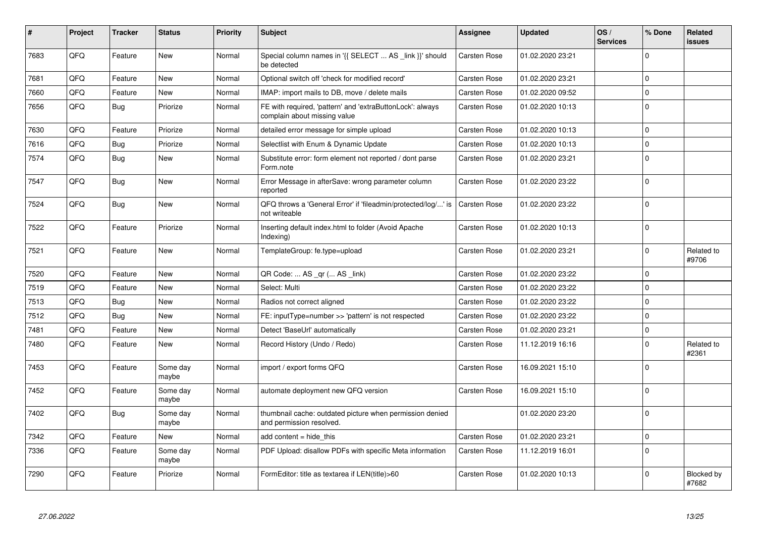| #    | Project | Tracker | <b>Status</b>     | <b>Priority</b> | <b>Subject</b>                                                                            | Assignee            | <b>Updated</b>   | OS/<br><b>Services</b> | % Done       | Related<br>issues   |
|------|---------|---------|-------------------|-----------------|-------------------------------------------------------------------------------------------|---------------------|------------------|------------------------|--------------|---------------------|
| 7683 | QFQ     | Feature | <b>New</b>        | Normal          | Special column names in '{{ SELECT  AS _link }}' should<br>be detected                    | <b>Carsten Rose</b> | 01.02.2020 23:21 |                        | $\Omega$     |                     |
| 7681 | QFQ     | Feature | <b>New</b>        | Normal          | Optional switch off 'check for modified record'                                           | Carsten Rose        | 01.02.2020 23:21 |                        | $\mathbf 0$  |                     |
| 7660 | QFQ     | Feature | <b>New</b>        | Normal          | IMAP: import mails to DB, move / delete mails                                             | <b>Carsten Rose</b> | 01.02.2020 09:52 |                        | $\Omega$     |                     |
| 7656 | QFQ     | Bug     | Priorize          | Normal          | FE with required, 'pattern' and 'extraButtonLock': always<br>complain about missing value | <b>Carsten Rose</b> | 01.02.2020 10:13 |                        | $\Omega$     |                     |
| 7630 | QFQ     | Feature | Priorize          | Normal          | detailed error message for simple upload                                                  | Carsten Rose        | 01.02.2020 10:13 |                        | $\mathbf 0$  |                     |
| 7616 | QFQ     | Bug     | Priorize          | Normal          | Selectlist with Enum & Dynamic Update                                                     | <b>Carsten Rose</b> | 01.02.2020 10:13 |                        | $\Omega$     |                     |
| 7574 | QFQ     | Bug     | <b>New</b>        | Normal          | Substitute error: form element not reported / dont parse<br>Form.note                     | Carsten Rose        | 01.02.2020 23:21 |                        | $\Omega$     |                     |
| 7547 | QFQ     | Bug     | <b>New</b>        | Normal          | Error Message in afterSave: wrong parameter column<br>reported                            | <b>Carsten Rose</b> | 01.02.2020 23:22 |                        | $\Omega$     |                     |
| 7524 | QFQ     | Bug     | <b>New</b>        | Normal          | QFQ throws a 'General Error' if 'fileadmin/protected/log/' is<br>not writeable            | <b>Carsten Rose</b> | 01.02.2020 23:22 |                        | $\Omega$     |                     |
| 7522 | QFQ     | Feature | Priorize          | Normal          | Inserting default index.html to folder (Avoid Apache<br>Indexing)                         | <b>Carsten Rose</b> | 01.02.2020 10:13 |                        | $\Omega$     |                     |
| 7521 | QFQ     | Feature | New               | Normal          | TemplateGroup: fe.type=upload                                                             | Carsten Rose        | 01.02.2020 23:21 |                        | $\Omega$     | Related to<br>#9706 |
| 7520 | QFQ     | Feature | <b>New</b>        | Normal          | QR Code:  AS _qr ( AS _link)                                                              | Carsten Rose        | 01.02.2020 23:22 |                        | $\Omega$     |                     |
| 7519 | QFQ     | Feature | <b>New</b>        | Normal          | Select: Multi                                                                             | <b>Carsten Rose</b> | 01.02.2020 23:22 |                        | $\mathbf 0$  |                     |
| 7513 | QFQ     | Bug     | <b>New</b>        | Normal          | Radios not correct aligned                                                                | <b>Carsten Rose</b> | 01.02.2020 23:22 |                        | $\Omega$     |                     |
| 7512 | QFQ     | Bug     | <b>New</b>        | Normal          | FE: inputType=number >> 'pattern' is not respected                                        | <b>Carsten Rose</b> | 01.02.2020 23:22 |                        | $\mathbf 0$  |                     |
| 7481 | QFQ     | Feature | <b>New</b>        | Normal          | Detect 'BaseUrl' automatically                                                            | <b>Carsten Rose</b> | 01.02.2020 23:21 |                        | $\mathbf{0}$ |                     |
| 7480 | QFQ     | Feature | <b>New</b>        | Normal          | Record History (Undo / Redo)                                                              | <b>Carsten Rose</b> | 11.12.2019 16:16 |                        | $\Omega$     | Related to<br>#2361 |
| 7453 | QFQ     | Feature | Some day<br>maybe | Normal          | import / export forms QFQ                                                                 | <b>Carsten Rose</b> | 16.09.2021 15:10 |                        | $\Omega$     |                     |
| 7452 | QFQ     | Feature | Some day<br>maybe | Normal          | automate deployment new QFQ version                                                       | <b>Carsten Rose</b> | 16.09.2021 15:10 |                        | $\Omega$     |                     |
| 7402 | QFQ     | Bug     | Some day<br>maybe | Normal          | thumbnail cache: outdated picture when permission denied<br>and permission resolved.      |                     | 01.02.2020 23:20 |                        | $\mathbf 0$  |                     |
| 7342 | QFQ     | Feature | New               | Normal          | add content $=$ hide this                                                                 | <b>Carsten Rose</b> | 01.02.2020 23:21 |                        | $\mathbf 0$  |                     |
| 7336 | QFQ     | Feature | Some day<br>maybe | Normal          | PDF Upload: disallow PDFs with specific Meta information                                  | Carsten Rose        | 11.12.2019 16:01 |                        | $\Omega$     |                     |
| 7290 | QFQ     | Feature | Priorize          | Normal          | FormEditor: title as textarea if LEN(title)>60                                            | <b>Carsten Rose</b> | 01.02.2020 10:13 |                        | $\Omega$     | Blocked by<br>#7682 |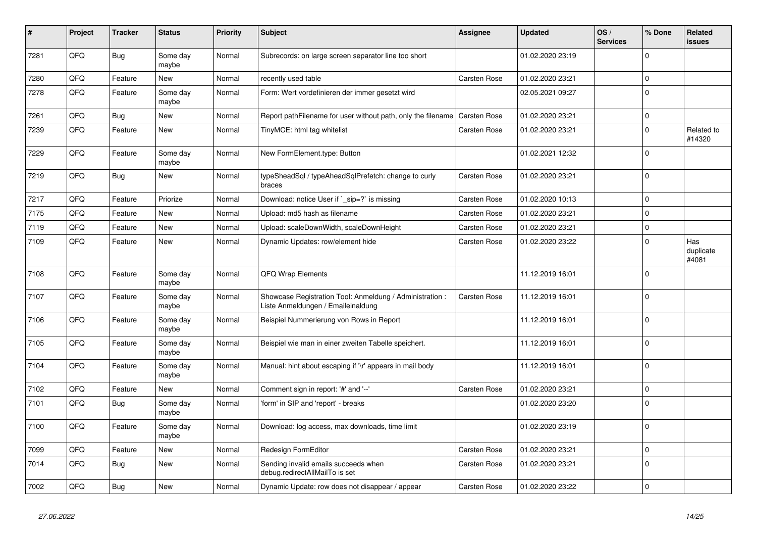| #    | Project | <b>Tracker</b> | <b>Status</b>     | <b>Priority</b> | <b>Subject</b>                                                                                 | Assignee            | <b>Updated</b>   | OS/<br><b>Services</b> | % Done         | Related<br>issues         |
|------|---------|----------------|-------------------|-----------------|------------------------------------------------------------------------------------------------|---------------------|------------------|------------------------|----------------|---------------------------|
| 7281 | QFQ     | <b>Bug</b>     | Some day<br>maybe | Normal          | Subrecords: on large screen separator line too short                                           |                     | 01.02.2020 23:19 |                        | $\Omega$       |                           |
| 7280 | QFQ     | Feature        | <b>New</b>        | Normal          | recently used table                                                                            | Carsten Rose        | 01.02.2020 23:21 |                        | $\overline{0}$ |                           |
| 7278 | QFQ     | Feature        | Some day<br>maybe | Normal          | Form: Wert vordefinieren der immer gesetzt wird                                                |                     | 02.05.2021 09:27 |                        | $\Omega$       |                           |
| 7261 | QFQ     | <b>Bug</b>     | <b>New</b>        | Normal          | Report pathFilename for user without path, only the filename                                   | <b>Carsten Rose</b> | 01.02.2020 23:21 |                        | 0              |                           |
| 7239 | QFQ     | Feature        | <b>New</b>        | Normal          | TinyMCE: html tag whitelist                                                                    | Carsten Rose        | 01.02.2020 23:21 |                        | $\Omega$       | Related to<br>#14320      |
| 7229 | QFQ     | Feature        | Some day<br>maybe | Normal          | New FormElement.type: Button                                                                   |                     | 01.02.2021 12:32 |                        | 0              |                           |
| 7219 | QFQ     | Bug            | New               | Normal          | typeSheadSql / typeAheadSqlPrefetch: change to curly<br>braces                                 | <b>Carsten Rose</b> | 01.02.2020 23:21 |                        | $\Omega$       |                           |
| 7217 | QFQ     | Feature        | Priorize          | Normal          | Download: notice User if `_sip=?` is missing                                                   | <b>Carsten Rose</b> | 01.02.2020 10:13 |                        | $\Omega$       |                           |
| 7175 | QFQ     | Feature        | <b>New</b>        | Normal          | Upload: md5 hash as filename                                                                   | <b>Carsten Rose</b> | 01.02.2020 23:21 |                        | $\Omega$       |                           |
| 7119 | QFQ     | Feature        | <b>New</b>        | Normal          | Upload: scaleDownWidth, scaleDownHeight                                                        | Carsten Rose        | 01.02.2020 23:21 |                        | $\Omega$       |                           |
| 7109 | QFQ     | Feature        | <b>New</b>        | Normal          | Dynamic Updates: row/element hide                                                              | Carsten Rose        | 01.02.2020 23:22 |                        | $\Omega$       | Has<br>duplicate<br>#4081 |
| 7108 | QFQ     | Feature        | Some day<br>maybe | Normal          | <b>QFQ Wrap Elements</b>                                                                       |                     | 11.12.2019 16:01 |                        | $\Omega$       |                           |
| 7107 | QFQ     | Feature        | Some day<br>maybe | Normal          | Showcase Registration Tool: Anmeldung / Administration :<br>Liste Anmeldungen / Emaileinaldung | <b>Carsten Rose</b> | 11.12.2019 16:01 |                        | $\Omega$       |                           |
| 7106 | QFQ     | Feature        | Some day<br>maybe | Normal          | Beispiel Nummerierung von Rows in Report                                                       |                     | 11.12.2019 16:01 |                        | $\Omega$       |                           |
| 7105 | QFQ     | Feature        | Some day<br>maybe | Normal          | Beispiel wie man in einer zweiten Tabelle speichert.                                           |                     | 11.12.2019 16:01 |                        | $\Omega$       |                           |
| 7104 | QFQ     | Feature        | Some day<br>maybe | Normal          | Manual: hint about escaping if '\r' appears in mail body                                       |                     | 11.12.2019 16:01 |                        | $\Omega$       |                           |
| 7102 | QFQ     | Feature        | New               | Normal          | Comment sign in report: '#' and '--'                                                           | <b>Carsten Rose</b> | 01.02.2020 23:21 |                        | $\Omega$       |                           |
| 7101 | QFQ     | Bug            | Some day<br>maybe | Normal          | 'form' in SIP and 'report' - breaks                                                            |                     | 01.02.2020 23:20 |                        | $\Omega$       |                           |
| 7100 | QFQ     | Feature        | Some day<br>maybe | Normal          | Download: log access, max downloads, time limit                                                |                     | 01.02.2020 23:19 |                        | $\Omega$       |                           |
| 7099 | QFQ     | Feature        | <b>New</b>        | Normal          | Redesign FormEditor                                                                            | <b>Carsten Rose</b> | 01.02.2020 23:21 |                        | $\Omega$       |                           |
| 7014 | QFQ     | Bug            | New               | Normal          | Sending invalid emails succeeds when<br>debug.redirectAllMailTo is set                         | <b>Carsten Rose</b> | 01.02.2020 23:21 |                        | $\Omega$       |                           |
| 7002 | QFQ     | <b>Bug</b>     | <b>New</b>        | Normal          | Dynamic Update: row does not disappear / appear                                                | <b>Carsten Rose</b> | 01.02.2020 23:22 |                        | $\Omega$       |                           |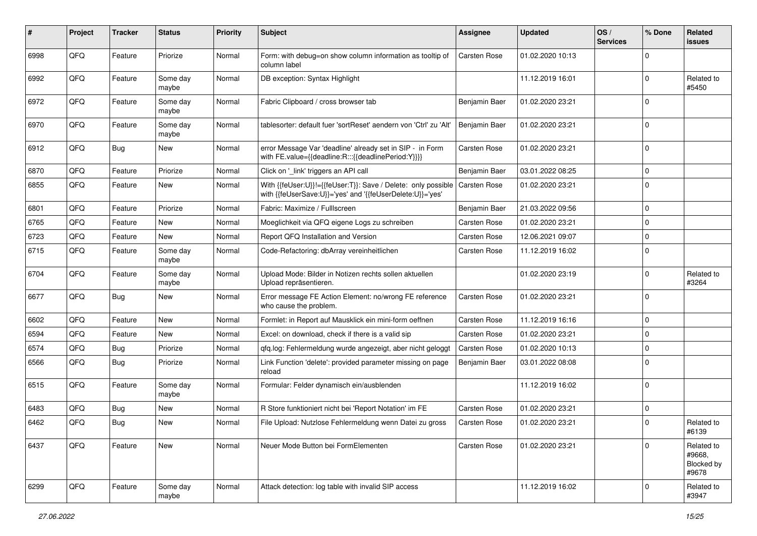| #    | Project | <b>Tracker</b> | <b>Status</b>     | <b>Priority</b> | <b>Subject</b>                                                                                                             | <b>Assignee</b>     | <b>Updated</b>   | OS/<br><b>Services</b> | % Done      | <b>Related</b><br>issues                    |
|------|---------|----------------|-------------------|-----------------|----------------------------------------------------------------------------------------------------------------------------|---------------------|------------------|------------------------|-------------|---------------------------------------------|
| 6998 | QFQ     | Feature        | Priorize          | Normal          | Form: with debug=on show column information as tooltip of<br>column label                                                  | <b>Carsten Rose</b> | 01.02.2020 10:13 |                        | 0           |                                             |
| 6992 | QFQ     | Feature        | Some day<br>maybe | Normal          | DB exception: Syntax Highlight                                                                                             |                     | 11.12.2019 16:01 |                        | $\Omega$    | Related to<br>#5450                         |
| 6972 | QFQ     | Feature        | Some day<br>maybe | Normal          | Fabric Clipboard / cross browser tab                                                                                       | Benjamin Baer       | 01.02.2020 23:21 |                        | 0           |                                             |
| 6970 | QFQ     | Feature        | Some day<br>maybe | Normal          | tablesorter: default fuer 'sortReset' aendern von 'Ctrl' zu 'Alt'                                                          | Benjamin Baer       | 01.02.2020 23:21 |                        | 0           |                                             |
| 6912 | QFQ     | <b>Bug</b>     | <b>New</b>        | Normal          | error Message Var 'deadline' already set in SIP - in Form<br>with FE.value={{deadline:R:::{{deadlinePeriod:Y}}}}           | <b>Carsten Rose</b> | 01.02.2020 23:21 |                        | $\mathbf 0$ |                                             |
| 6870 | QFQ     | Feature        | Priorize          | Normal          | Click on '_link' triggers an API call                                                                                      | Benjamin Baer       | 03.01.2022 08:25 |                        | $\mathbf 0$ |                                             |
| 6855 | QFQ     | Feature        | New               | Normal          | With {{feUser:U}}!={{feUser:T}}: Save / Delete: only possible<br>with {{feUserSave:U}}='yes' and '{{feUserDelete:U}}='yes' | <b>Carsten Rose</b> | 01.02.2020 23:21 |                        | 0           |                                             |
| 6801 | QFQ     | Feature        | Priorize          | Normal          | Fabric: Maximize / FullIscreen                                                                                             | Benjamin Baer       | 21.03.2022 09:56 |                        | 0           |                                             |
| 6765 | QFQ     | Feature        | <b>New</b>        | Normal          | Moeglichkeit via QFQ eigene Logs zu schreiben                                                                              | <b>Carsten Rose</b> | 01.02.2020 23:21 |                        | 0           |                                             |
| 6723 | QFQ     | Feature        | New               | Normal          | Report QFQ Installation and Version                                                                                        | Carsten Rose        | 12.06.2021 09:07 |                        | 0           |                                             |
| 6715 | QFQ     | Feature        | Some day<br>maybe | Normal          | Code-Refactoring: dbArray vereinheitlichen                                                                                 | Carsten Rose        | 11.12.2019 16:02 |                        | 0           |                                             |
| 6704 | QFQ     | Feature        | Some day<br>maybe | Normal          | Upload Mode: Bilder in Notizen rechts sollen aktuellen<br>Upload repräsentieren.                                           |                     | 01.02.2020 23:19 |                        | 0           | Related to<br>#3264                         |
| 6677 | QFQ     | <b>Bug</b>     | <b>New</b>        | Normal          | Error message FE Action Element: no/wrong FE reference<br>who cause the problem.                                           | <b>Carsten Rose</b> | 01.02.2020 23:21 |                        | $\Omega$    |                                             |
| 6602 | QFQ     | Feature        | <b>New</b>        | Normal          | Formlet: in Report auf Mausklick ein mini-form oeffnen                                                                     | <b>Carsten Rose</b> | 11.12.2019 16:16 |                        | $\Omega$    |                                             |
| 6594 | QFQ     | Feature        | New               | Normal          | Excel: on download, check if there is a valid sip                                                                          | Carsten Rose        | 01.02.2020 23:21 |                        | $\Omega$    |                                             |
| 6574 | QFQ     | <b>Bug</b>     | Priorize          | Normal          | qfq.log: Fehlermeldung wurde angezeigt, aber nicht geloggt                                                                 | Carsten Rose        | 01.02.2020 10:13 |                        | $\Omega$    |                                             |
| 6566 | QFQ     | Bug            | Priorize          | Normal          | Link Function 'delete': provided parameter missing on page<br>reload                                                       | Benjamin Baer       | 03.01.2022 08:08 |                        | $\Omega$    |                                             |
| 6515 | QFQ     | Feature        | Some day<br>maybe | Normal          | Formular: Felder dynamisch ein/ausblenden                                                                                  |                     | 11.12.2019 16:02 |                        | $\Omega$    |                                             |
| 6483 | QFQ     | <b>Bug</b>     | New               | Normal          | R Store funktioniert nicht bei 'Report Notation' im FE                                                                     | <b>Carsten Rose</b> | 01.02.2020 23:21 |                        | $\mathbf 0$ |                                             |
| 6462 | QFQ     | <b>Bug</b>     | <b>New</b>        | Normal          | File Upload: Nutzlose Fehlermeldung wenn Datei zu gross                                                                    | Carsten Rose        | 01.02.2020 23:21 |                        | $\Omega$    | Related to<br>#6139                         |
| 6437 | QFQ     | Feature        | New               | Normal          | Neuer Mode Button bei FormElementen                                                                                        | Carsten Rose        | 01.02.2020 23:21 |                        | $\Omega$    | Related to<br>#9668,<br>Blocked by<br>#9678 |
| 6299 | QFQ     | Feature        | Some day<br>maybe | Normal          | Attack detection: log table with invalid SIP access                                                                        |                     | 11.12.2019 16:02 |                        | $\mathbf 0$ | Related to<br>#3947                         |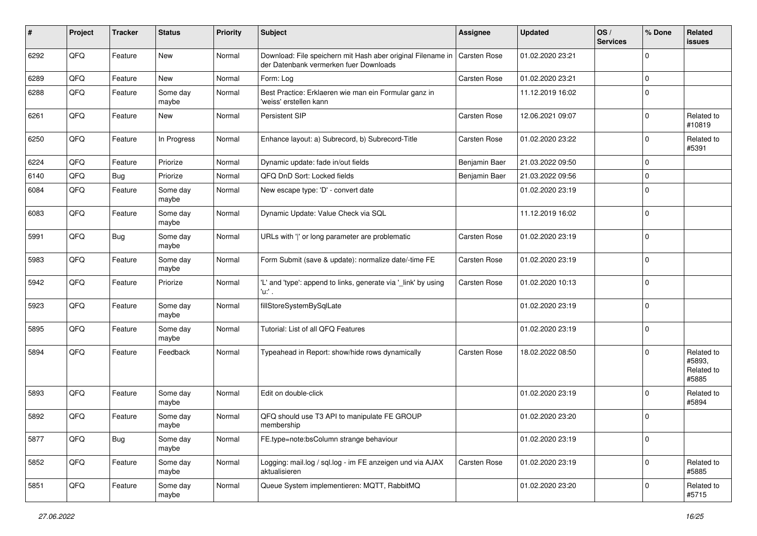| ∦    | Project | <b>Tracker</b> | <b>Status</b>     | <b>Priority</b> | Subject                                                                                               | <b>Assignee</b>     | <b>Updated</b>   | OS/<br><b>Services</b> | % Done      | Related<br><b>issues</b>                    |
|------|---------|----------------|-------------------|-----------------|-------------------------------------------------------------------------------------------------------|---------------------|------------------|------------------------|-------------|---------------------------------------------|
| 6292 | QFQ     | Feature        | New               | Normal          | Download: File speichern mit Hash aber original Filename in<br>der Datenbank vermerken fuer Downloads | <b>Carsten Rose</b> | 01.02.2020 23:21 |                        | $\mathbf 0$ |                                             |
| 6289 | QFQ     | Feature        | <b>New</b>        | Normal          | Form: Log                                                                                             | Carsten Rose        | 01.02.2020 23:21 |                        | $\mathbf 0$ |                                             |
| 6288 | QFQ     | Feature        | Some day<br>maybe | Normal          | Best Practice: Erklaeren wie man ein Formular ganz in<br>'weiss' erstellen kann                       |                     | 11.12.2019 16:02 |                        | $\mathbf 0$ |                                             |
| 6261 | QFQ     | Feature        | <b>New</b>        | Normal          | Persistent SIP                                                                                        | Carsten Rose        | 12.06.2021 09:07 |                        | $\pmb{0}$   | Related to<br>#10819                        |
| 6250 | QFQ     | Feature        | In Progress       | Normal          | Enhance layout: a) Subrecord, b) Subrecord-Title                                                      | Carsten Rose        | 01.02.2020 23:22 |                        | $\mathbf 0$ | Related to<br>#5391                         |
| 6224 | QFQ     | Feature        | Priorize          | Normal          | Dynamic update: fade in/out fields                                                                    | Benjamin Baer       | 21.03.2022 09:50 |                        | $\mathbf 0$ |                                             |
| 6140 | QFQ     | <b>Bug</b>     | Priorize          | Normal          | QFQ DnD Sort: Locked fields                                                                           | Benjamin Baer       | 21.03.2022 09:56 |                        | $\mathbf 0$ |                                             |
| 6084 | QFQ     | Feature        | Some day<br>maybe | Normal          | New escape type: 'D' - convert date                                                                   |                     | 01.02.2020 23:19 |                        | $\mathbf 0$ |                                             |
| 6083 | QFQ     | Feature        | Some day<br>maybe | Normal          | Dynamic Update: Value Check via SQL                                                                   |                     | 11.12.2019 16:02 |                        | $\mathbf 0$ |                                             |
| 5991 | QFQ     | Bug            | Some day<br>maybe | Normal          | URLs with ' ' or long parameter are problematic                                                       | Carsten Rose        | 01.02.2020 23:19 |                        | $\mathbf 0$ |                                             |
| 5983 | QFQ     | Feature        | Some day<br>maybe | Normal          | Form Submit (save & update): normalize date/-time FE                                                  | Carsten Rose        | 01.02.2020 23:19 |                        | $\mathbf 0$ |                                             |
| 5942 | QFQ     | Feature        | Priorize          | Normal          | 'L' and 'type': append to links, generate via '_link' by using<br>'u:' .                              | Carsten Rose        | 01.02.2020 10:13 |                        | $\mathbf 0$ |                                             |
| 5923 | QFQ     | Feature        | Some day<br>maybe | Normal          | fillStoreSystemBySqlLate                                                                              |                     | 01.02.2020 23:19 |                        | $\mathbf 0$ |                                             |
| 5895 | QFQ     | Feature        | Some day<br>maybe | Normal          | Tutorial: List of all QFQ Features                                                                    |                     | 01.02.2020 23:19 |                        | $\mathbf 0$ |                                             |
| 5894 | QFQ     | Feature        | Feedback          | Normal          | Typeahead in Report: show/hide rows dynamically                                                       | Carsten Rose        | 18.02.2022 08:50 |                        | $\Omega$    | Related to<br>#5893,<br>Related to<br>#5885 |
| 5893 | QFQ     | Feature        | Some day<br>maybe | Normal          | Edit on double-click                                                                                  |                     | 01.02.2020 23:19 |                        | $\mathbf 0$ | Related to<br>#5894                         |
| 5892 | QFQ     | Feature        | Some day<br>maybe | Normal          | QFQ should use T3 API to manipulate FE GROUP<br>membership                                            |                     | 01.02.2020 23:20 |                        | $\mathbf 0$ |                                             |
| 5877 | QFQ     | <b>Bug</b>     | Some day<br>maybe | Normal          | FE.type=note:bsColumn strange behaviour                                                               |                     | 01.02.2020 23:19 |                        | $\pmb{0}$   |                                             |
| 5852 | QFQ     | Feature        | Some day<br>maybe | Normal          | Logging: mail.log / sql.log - im FE anzeigen und via AJAX<br>aktualisieren                            | Carsten Rose        | 01.02.2020 23:19 |                        | $\mathbf 0$ | Related to<br>#5885                         |
| 5851 | QFQ     | Feature        | Some day<br>maybe | Normal          | Queue System implementieren: MQTT, RabbitMQ                                                           |                     | 01.02.2020 23:20 |                        | $\mathbf 0$ | Related to<br>#5715                         |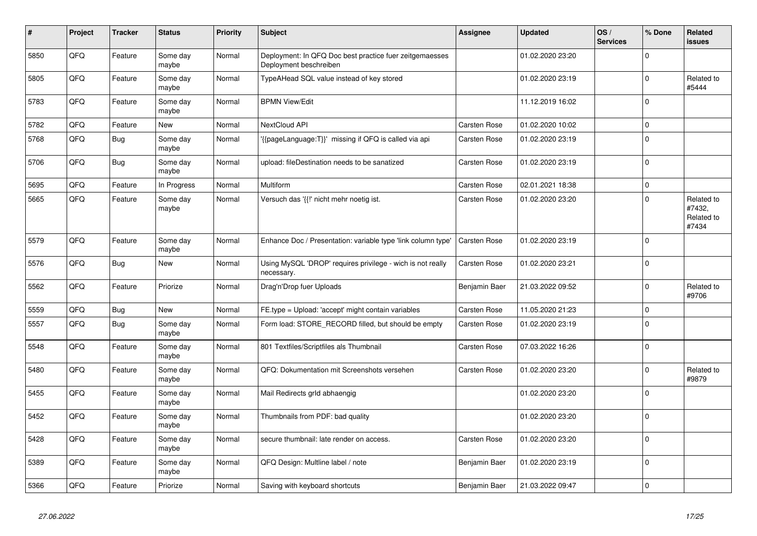| #    | Project | <b>Tracker</b> | <b>Status</b>     | <b>Priority</b> | <b>Subject</b>                                                                    | Assignee            | <b>Updated</b>   | OS/<br><b>Services</b> | % Done       | Related<br>issues                           |
|------|---------|----------------|-------------------|-----------------|-----------------------------------------------------------------------------------|---------------------|------------------|------------------------|--------------|---------------------------------------------|
| 5850 | QFQ     | Feature        | Some day<br>maybe | Normal          | Deployment: In QFQ Doc best practice fuer zeitgemaesses<br>Deployment beschreiben |                     | 01.02.2020 23:20 |                        | $\Omega$     |                                             |
| 5805 | QFQ     | Feature        | Some day<br>maybe | Normal          | TypeAHead SQL value instead of key stored                                         |                     | 01.02.2020 23:19 |                        | $\Omega$     | Related to<br>#5444                         |
| 5783 | QFQ     | Feature        | Some day<br>maybe | Normal          | <b>BPMN View/Edit</b>                                                             |                     | 11.12.2019 16:02 |                        | $\mathbf 0$  |                                             |
| 5782 | QFQ     | Feature        | New               | Normal          | NextCloud API                                                                     | <b>Carsten Rose</b> | 01.02.2020 10:02 |                        | $\Omega$     |                                             |
| 5768 | QFQ     | <b>Bug</b>     | Some day<br>maybe | Normal          | {{pageLanguage:T}}' missing if QFQ is called via api                              | Carsten Rose        | 01.02.2020 23:19 |                        | $\Omega$     |                                             |
| 5706 | QFQ     | <b>Bug</b>     | Some day<br>maybe | Normal          | upload: fileDestination needs to be sanatized                                     | <b>Carsten Rose</b> | 01.02.2020 23:19 |                        | $\Omega$     |                                             |
| 5695 | QFQ     | Feature        | In Progress       | Normal          | Multiform                                                                         | Carsten Rose        | 02.01.2021 18:38 |                        | $\Omega$     |                                             |
| 5665 | QFQ     | Feature        | Some day<br>maybe | Normal          | Versuch das '{{!' nicht mehr noetig ist.                                          | <b>Carsten Rose</b> | 01.02.2020 23:20 |                        | $\Omega$     | Related to<br>#7432,<br>Related to<br>#7434 |
| 5579 | QFQ     | Feature        | Some day<br>maybe | Normal          | Enhance Doc / Presentation: variable type 'link column type'                      | Carsten Rose        | 01.02.2020 23:19 |                        | 0            |                                             |
| 5576 | QFQ     | <b>Bug</b>     | New               | Normal          | Using MySQL 'DROP' requires privilege - wich is not really<br>necessary.          | <b>Carsten Rose</b> | 01.02.2020 23:21 |                        | $\Omega$     |                                             |
| 5562 | QFQ     | Feature        | Priorize          | Normal          | Drag'n'Drop fuer Uploads                                                          | Benjamin Baer       | 21.03.2022 09:52 |                        | $\Omega$     | Related to<br>#9706                         |
| 5559 | QFQ     | <b>Bug</b>     | New               | Normal          | FE.type = Upload: 'accept' might contain variables                                | <b>Carsten Rose</b> | 11.05.2020 21:23 |                        | $\mathbf 0$  |                                             |
| 5557 | QFQ     | <b>Bug</b>     | Some day<br>maybe | Normal          | Form load: STORE RECORD filled, but should be empty                               | Carsten Rose        | 01.02.2020 23:19 |                        | $\Omega$     |                                             |
| 5548 | QFQ     | Feature        | Some day<br>maybe | Normal          | 801 Textfiles/Scriptfiles als Thumbnail                                           | Carsten Rose        | 07.03.2022 16:26 |                        | $\mathbf 0$  |                                             |
| 5480 | QFQ     | Feature        | Some day<br>maybe | Normal          | QFQ: Dokumentation mit Screenshots versehen                                       | <b>Carsten Rose</b> | 01.02.2020 23:20 |                        | <sup>0</sup> | Related to<br>#9879                         |
| 5455 | QFQ     | Feature        | Some day<br>maybe | Normal          | Mail Redirects grld abhaengig                                                     |                     | 01.02.2020 23:20 |                        | $\Omega$     |                                             |
| 5452 | QFQ     | Feature        | Some day<br>maybe | Normal          | Thumbnails from PDF: bad quality                                                  |                     | 01.02.2020 23:20 |                        | $\Omega$     |                                             |
| 5428 | QFQ     | Feature        | Some day<br>maybe | Normal          | secure thumbnail: late render on access.                                          | Carsten Rose        | 01.02.2020 23:20 |                        | 0            |                                             |
| 5389 | QFQ     | Feature        | Some day<br>maybe | Normal          | QFQ Design: Multline label / note                                                 | Benjamin Baer       | 01.02.2020 23:19 |                        | $\Omega$     |                                             |
| 5366 | QFQ     | Feature        | Priorize          | Normal          | Saving with keyboard shortcuts                                                    | Benjamin Baer       | 21.03.2022 09:47 |                        | $\Omega$     |                                             |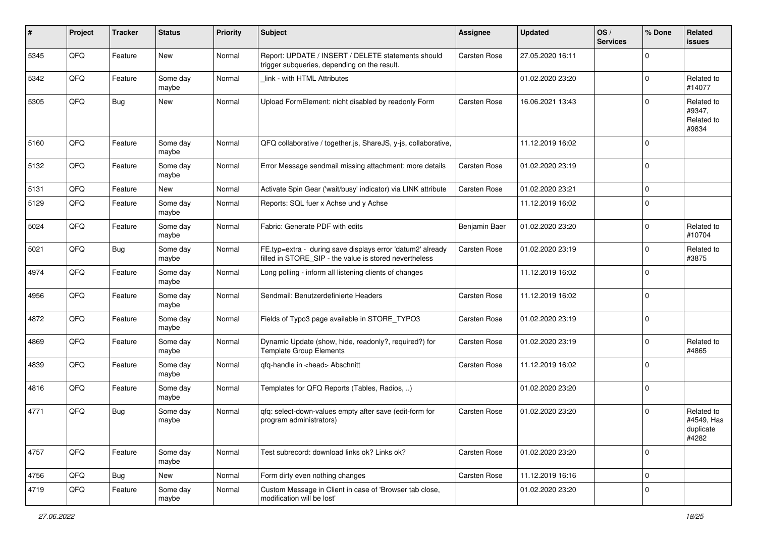| #    | Project | <b>Tracker</b> | <b>Status</b>     | <b>Priority</b> | <b>Subject</b>                                                                                                       | Assignee            | <b>Updated</b>   | OS/<br><b>Services</b> | % Done      | Related<br>issues                              |
|------|---------|----------------|-------------------|-----------------|----------------------------------------------------------------------------------------------------------------------|---------------------|------------------|------------------------|-------------|------------------------------------------------|
| 5345 | QFQ     | Feature        | New               | Normal          | Report: UPDATE / INSERT / DELETE statements should<br>trigger subqueries, depending on the result.                   | <b>Carsten Rose</b> | 27.05.2020 16:11 |                        | $\Omega$    |                                                |
| 5342 | QFQ     | Feature        | Some day<br>maybe | Normal          | link - with HTML Attributes                                                                                          |                     | 01.02.2020 23:20 |                        | $\Omega$    | Related to<br>#14077                           |
| 5305 | QFQ     | Bug            | New               | Normal          | Upload FormElement: nicht disabled by readonly Form                                                                  | Carsten Rose        | 16.06.2021 13:43 |                        | $\Omega$    | Related to<br>#9347,<br>Related to<br>#9834    |
| 5160 | QFQ     | Feature        | Some day<br>maybe | Normal          | QFQ collaborative / together.js, ShareJS, y-js, collaborative,                                                       |                     | 11.12.2019 16:02 |                        | $\mathbf 0$ |                                                |
| 5132 | QFQ     | Feature        | Some day<br>maybe | Normal          | Error Message sendmail missing attachment: more details                                                              | Carsten Rose        | 01.02.2020 23:19 |                        | $\Omega$    |                                                |
| 5131 | QFQ     | Feature        | New               | Normal          | Activate Spin Gear ('wait/busy' indicator) via LINK attribute                                                        | Carsten Rose        | 01.02.2020 23:21 |                        | 0           |                                                |
| 5129 | QFQ     | Feature        | Some day<br>maybe | Normal          | Reports: SQL fuer x Achse und y Achse                                                                                |                     | 11.12.2019 16:02 |                        | $\Omega$    |                                                |
| 5024 | QFQ     | Feature        | Some day<br>maybe | Normal          | Fabric: Generate PDF with edits                                                                                      | Benjamin Baer       | 01.02.2020 23:20 |                        | $\Omega$    | Related to<br>#10704                           |
| 5021 | QFQ     | Bug            | Some day<br>maybe | Normal          | FE.typ=extra - during save displays error 'datum2' already<br>filled in STORE_SIP - the value is stored nevertheless | Carsten Rose        | 01.02.2020 23:19 |                        | $\Omega$    | Related to<br>#3875                            |
| 4974 | QFQ     | Feature        | Some day<br>maybe | Normal          | Long polling - inform all listening clients of changes                                                               |                     | 11.12.2019 16:02 |                        | $\mathbf 0$ |                                                |
| 4956 | QFQ     | Feature        | Some day<br>maybe | Normal          | Sendmail: Benutzerdefinierte Headers                                                                                 | <b>Carsten Rose</b> | 11.12.2019 16:02 |                        | $\Omega$    |                                                |
| 4872 | QFQ     | Feature        | Some day<br>maybe | Normal          | Fields of Typo3 page available in STORE_TYPO3                                                                        | Carsten Rose        | 01.02.2020 23:19 |                        | $\Omega$    |                                                |
| 4869 | QFQ     | Feature        | Some day<br>maybe | Normal          | Dynamic Update (show, hide, readonly?, required?) for<br><b>Template Group Elements</b>                              | Carsten Rose        | 01.02.2020 23:19 |                        | $\Omega$    | Related to<br>#4865                            |
| 4839 | QFQ     | Feature        | Some day<br>maybe | Normal          | qfq-handle in <head> Abschnitt</head>                                                                                | Carsten Rose        | 11.12.2019 16:02 |                        | $\Omega$    |                                                |
| 4816 | QFQ     | Feature        | Some day<br>maybe | Normal          | Templates for QFQ Reports (Tables, Radios, )                                                                         |                     | 01.02.2020 23:20 |                        | $\Omega$    |                                                |
| 4771 | QFQ     | <b>Bug</b>     | Some day<br>maybe | Normal          | qfq: select-down-values empty after save (edit-form for<br>program administrators)                                   | Carsten Rose        | 01.02.2020 23:20 |                        | $\mathbf 0$ | Related to<br>#4549, Has<br>duplicate<br>#4282 |
| 4757 | QFQ     | Feature        | Some day<br>maybe | Normal          | Test subrecord: download links ok? Links ok?                                                                         | Carsten Rose        | 01.02.2020 23:20 |                        | $\Omega$    |                                                |
| 4756 | QFQ     | Bug            | New               | Normal          | Form dirty even nothing changes                                                                                      | <b>Carsten Rose</b> | 11.12.2019 16:16 |                        | $\mathbf 0$ |                                                |
| 4719 | QFQ     | Feature        | Some day<br>maybe | Normal          | Custom Message in Client in case of 'Browser tab close,<br>modification will be lost'                                |                     | 01.02.2020 23:20 |                        | 0           |                                                |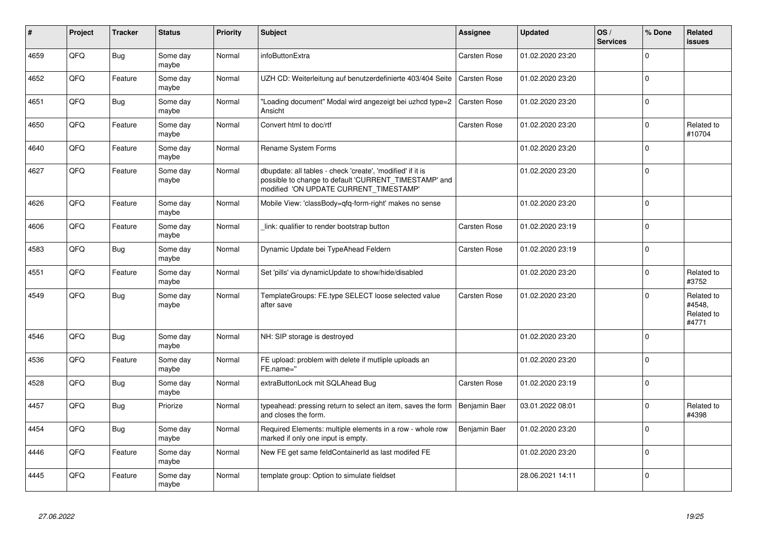| #    | Project | <b>Tracker</b> | <b>Status</b>     | <b>Priority</b> | <b>Subject</b>                                                                                                                                                | Assignee            | <b>Updated</b>   | OS/<br><b>Services</b> | % Done      | Related<br>issues                           |
|------|---------|----------------|-------------------|-----------------|---------------------------------------------------------------------------------------------------------------------------------------------------------------|---------------------|------------------|------------------------|-------------|---------------------------------------------|
| 4659 | QFQ     | Bug            | Some day<br>maybe | Normal          | infoButtonExtra                                                                                                                                               | Carsten Rose        | 01.02.2020 23:20 |                        | $\Omega$    |                                             |
| 4652 | QFQ     | Feature        | Some day<br>maybe | Normal          | UZH CD: Weiterleitung auf benutzerdefinierte 403/404 Seite                                                                                                    | <b>Carsten Rose</b> | 01.02.2020 23:20 |                        | $\Omega$    |                                             |
| 4651 | QFQ     | Bug            | Some day<br>maybe | Normal          | "Loading document" Modal wird angezeigt bei uzhcd type=2<br>Ansicht                                                                                           | <b>Carsten Rose</b> | 01.02.2020 23:20 |                        | $\mathbf 0$ |                                             |
| 4650 | QFQ     | Feature        | Some day<br>maybe | Normal          | Convert html to doc/rtf                                                                                                                                       | <b>Carsten Rose</b> | 01.02.2020 23:20 |                        | $\Omega$    | Related to<br>#10704                        |
| 4640 | QFQ     | Feature        | Some day<br>maybe | Normal          | Rename System Forms                                                                                                                                           |                     | 01.02.2020 23:20 |                        | $\Omega$    |                                             |
| 4627 | QFQ     | Feature        | Some day<br>maybe | Normal          | dbupdate: all tables - check 'create', 'modified' if it is<br>possible to change to default 'CURRENT_TIMESTAMP' and<br>modified 'ON UPDATE CURRENT_TIMESTAMP' |                     | 01.02.2020 23:20 |                        | $\Omega$    |                                             |
| 4626 | QFQ     | Feature        | Some day<br>maybe | Normal          | Mobile View: 'classBody=qfq-form-right' makes no sense                                                                                                        |                     | 01.02.2020 23:20 |                        | $\Omega$    |                                             |
| 4606 | QFQ     | Feature        | Some day<br>maybe | Normal          | link: qualifier to render bootstrap button                                                                                                                    | <b>Carsten Rose</b> | 01.02.2020 23:19 |                        | $\mathbf 0$ |                                             |
| 4583 | QFQ     | Bug            | Some day<br>maybe | Normal          | Dynamic Update bei TypeAhead Feldern                                                                                                                          | <b>Carsten Rose</b> | 01.02.2020 23:19 |                        | $\Omega$    |                                             |
| 4551 | QFQ     | Feature        | Some day<br>maybe | Normal          | Set 'pills' via dynamicUpdate to show/hide/disabled                                                                                                           |                     | 01.02.2020 23:20 |                        | $\Omega$    | Related to<br>#3752                         |
| 4549 | QFQ     | Bug            | Some day<br>maybe | Normal          | TemplateGroups: FE.type SELECT loose selected value<br>after save                                                                                             | Carsten Rose        | 01.02.2020 23:20 |                        | $\Omega$    | Related to<br>#4548.<br>Related to<br>#4771 |
| 4546 | QFQ     | <b>Bug</b>     | Some day<br>maybe | Normal          | NH: SIP storage is destroyed                                                                                                                                  |                     | 01.02.2020 23:20 |                        | $\mathbf 0$ |                                             |
| 4536 | QFQ     | Feature        | Some day<br>maybe | Normal          | FE upload: problem with delete if mutliple uploads an<br>FE.name="                                                                                            |                     | 01.02.2020 23:20 |                        | $\mathbf 0$ |                                             |
| 4528 | QFQ     | Bug            | Some day<br>maybe | Normal          | extraButtonLock mit SQLAhead Bug                                                                                                                              | Carsten Rose        | 01.02.2020 23:19 |                        | $\mathbf 0$ |                                             |
| 4457 | QFQ     | Bug            | Priorize          | Normal          | typeahead: pressing return to select an item, saves the form<br>and closes the form.                                                                          | Benjamin Baer       | 03.01.2022 08:01 |                        | $\Omega$    | Related to<br>#4398                         |
| 4454 | QFQ     | Bug            | Some day<br>maybe | Normal          | Required Elements: multiple elements in a row - whole row<br>marked if only one input is empty.                                                               | Benjamin Baer       | 01.02.2020 23:20 |                        | $\Omega$    |                                             |
| 4446 | QFQ     | Feature        | Some day<br>maybe | Normal          | New FE get same feldContainerId as last modifed FE                                                                                                            |                     | 01.02.2020 23:20 |                        | $\Omega$    |                                             |
| 4445 | QFQ     | Feature        | Some day<br>maybe | Normal          | template group: Option to simulate fieldset                                                                                                                   |                     | 28.06.2021 14:11 |                        | $\Omega$    |                                             |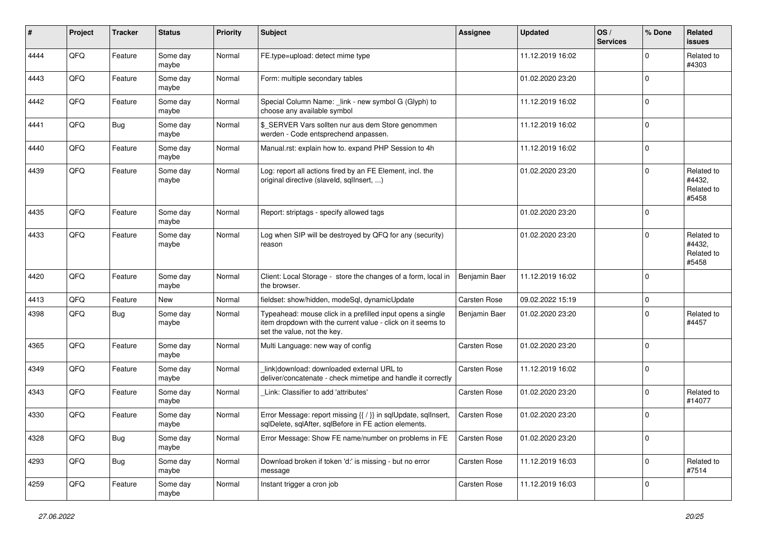| ∦    | Project | <b>Tracker</b> | <b>Status</b>     | <b>Priority</b> | <b>Subject</b>                                                                                                                                           | <b>Assignee</b>     | <b>Updated</b>   | OS/<br><b>Services</b> | % Done      | Related<br><b>issues</b>                    |
|------|---------|----------------|-------------------|-----------------|----------------------------------------------------------------------------------------------------------------------------------------------------------|---------------------|------------------|------------------------|-------------|---------------------------------------------|
| 4444 | QFQ     | Feature        | Some day<br>maybe | Normal          | FE.type=upload: detect mime type                                                                                                                         |                     | 11.12.2019 16:02 |                        | $\Omega$    | Related to<br>#4303                         |
| 4443 | QFQ     | Feature        | Some day<br>maybe | Normal          | Form: multiple secondary tables                                                                                                                          |                     | 01.02.2020 23:20 |                        | $\Omega$    |                                             |
| 4442 | QFQ     | Feature        | Some day<br>maybe | Normal          | Special Column Name: _link - new symbol G (Glyph) to<br>choose any available symbol                                                                      |                     | 11.12.2019 16:02 |                        | $\Omega$    |                                             |
| 4441 | QFQ     | Bug            | Some day<br>maybe | Normal          | \$_SERVER Vars sollten nur aus dem Store genommen<br>werden - Code entsprechend anpassen.                                                                |                     | 11.12.2019 16:02 |                        | $\mathbf 0$ |                                             |
| 4440 | QFQ     | Feature        | Some day<br>maybe | Normal          | Manual.rst: explain how to. expand PHP Session to 4h                                                                                                     |                     | 11.12.2019 16:02 |                        | $\mathbf 0$ |                                             |
| 4439 | QFQ     | Feature        | Some day<br>maybe | Normal          | Log: report all actions fired by an FE Element, incl. the<br>original directive (slaveld, sqllnsert, )                                                   |                     | 01.02.2020 23:20 |                        | $\Omega$    | Related to<br>#4432,<br>Related to<br>#5458 |
| 4435 | QFQ     | Feature        | Some day<br>maybe | Normal          | Report: striptags - specify allowed tags                                                                                                                 |                     | 01.02.2020 23:20 |                        | $\Omega$    |                                             |
| 4433 | QFQ     | Feature        | Some day<br>maybe | Normal          | Log when SIP will be destroyed by QFQ for any (security)<br>reason                                                                                       |                     | 01.02.2020 23:20 |                        | $\Omega$    | Related to<br>#4432,<br>Related to<br>#5458 |
| 4420 | QFQ     | Feature        | Some day<br>maybe | Normal          | Client: Local Storage - store the changes of a form, local in<br>the browser.                                                                            | Benjamin Baer       | 11.12.2019 16:02 |                        | $\Omega$    |                                             |
| 4413 | QFQ     | Feature        | New               | Normal          | fieldset: show/hidden, modeSql, dynamicUpdate                                                                                                            | Carsten Rose        | 09.02.2022 15:19 |                        | $\mathbf 0$ |                                             |
| 4398 | QFQ     | Bug            | Some day<br>maybe | Normal          | Typeahead: mouse click in a prefilled input opens a single<br>item dropdown with the current value - click on it seems to<br>set the value, not the key. | Benjamin Baer       | 01.02.2020 23:20 |                        | $\Omega$    | Related to<br>#4457                         |
| 4365 | QFQ     | Feature        | Some day<br>maybe | Normal          | Multi Language: new way of config                                                                                                                        | Carsten Rose        | 01.02.2020 23:20 |                        | $\Omega$    |                                             |
| 4349 | QFQ     | Feature        | Some day<br>maybe | Normal          | link download: downloaded external URL to<br>deliver/concatenate - check mimetipe and handle it correctly                                                | Carsten Rose        | 11.12.2019 16:02 |                        | 0           |                                             |
| 4343 | QFQ     | Feature        | Some day<br>maybe | Normal          | Link: Classifier to add 'attributes'                                                                                                                     | Carsten Rose        | 01.02.2020 23:20 |                        | $\Omega$    | Related to<br>#14077                        |
| 4330 | QFQ     | Feature        | Some day<br>maybe | Normal          | Error Message: report missing {{ / }} in sqlUpdate, sqlInsert,<br>sqlDelete, sqlAfter, sqlBefore in FE action elements.                                  | <b>Carsten Rose</b> | 01.02.2020 23:20 |                        | $\Omega$    |                                             |
| 4328 | QFQ     | Bug            | Some day<br>maybe | Normal          | Error Message: Show FE name/number on problems in FE                                                                                                     | Carsten Rose        | 01.02.2020 23:20 |                        | 0           |                                             |
| 4293 | QFQ     | Bug            | Some day<br>maybe | Normal          | Download broken if token 'd:' is missing - but no error<br>message                                                                                       | Carsten Rose        | 11.12.2019 16:03 |                        | $\mathbf 0$ | Related to<br>#7514                         |
| 4259 | QFQ     | Feature        | Some day<br>maybe | Normal          | Instant trigger a cron job                                                                                                                               | Carsten Rose        | 11.12.2019 16:03 |                        | 0           |                                             |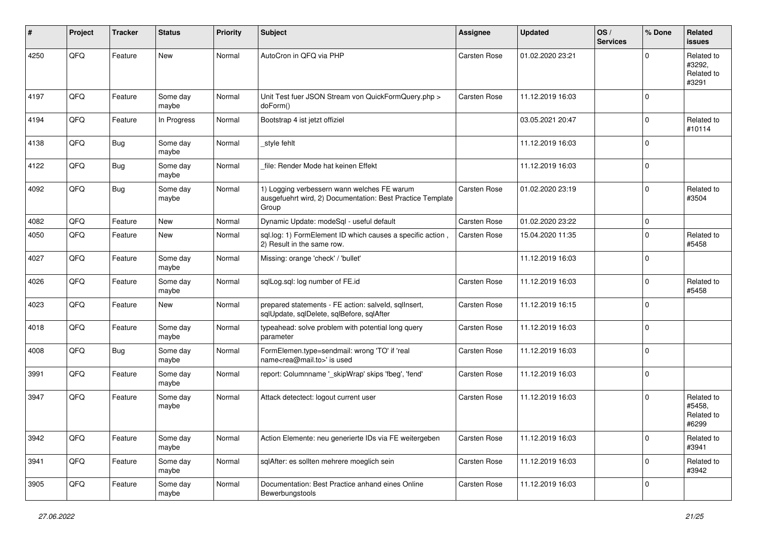| #    | Project | <b>Tracker</b> | <b>Status</b>     | <b>Priority</b> | <b>Subject</b>                                                                                                     | <b>Assignee</b> | <b>Updated</b>   | OS/<br><b>Services</b> | % Done      | Related<br>issues                           |
|------|---------|----------------|-------------------|-----------------|--------------------------------------------------------------------------------------------------------------------|-----------------|------------------|------------------------|-------------|---------------------------------------------|
| 4250 | QFQ     | Feature        | New               | Normal          | AutoCron in QFQ via PHP                                                                                            | Carsten Rose    | 01.02.2020 23:21 |                        | $\Omega$    | Related to<br>#3292,<br>Related to<br>#3291 |
| 4197 | QFQ     | Feature        | Some day<br>maybe | Normal          | Unit Test fuer JSON Stream von QuickFormQuery.php ><br>doForm()                                                    | Carsten Rose    | 11.12.2019 16:03 |                        | $\mathbf 0$ |                                             |
| 4194 | QFQ     | Feature        | In Progress       | Normal          | Bootstrap 4 ist jetzt offiziel                                                                                     |                 | 03.05.2021 20:47 |                        | $\mathbf 0$ | Related to<br>#10114                        |
| 4138 | QFQ     | Bug            | Some day<br>maybe | Normal          | _style fehlt                                                                                                       |                 | 11.12.2019 16:03 |                        | 0           |                                             |
| 4122 | QFQ     | <b>Bug</b>     | Some day<br>maybe | Normal          | file: Render Mode hat keinen Effekt                                                                                |                 | 11.12.2019 16:03 |                        | $\mathbf 0$ |                                             |
| 4092 | QFQ     | <b>Bug</b>     | Some day<br>maybe | Normal          | 1) Logging verbessern wann welches FE warum<br>ausgefuehrt wird, 2) Documentation: Best Practice Template<br>Group | Carsten Rose    | 01.02.2020 23:19 |                        | $\mathbf 0$ | Related to<br>#3504                         |
| 4082 | QFQ     | Feature        | <b>New</b>        | Normal          | Dynamic Update: modeSql - useful default                                                                           | Carsten Rose    | 01.02.2020 23:22 |                        | $\mathbf 0$ |                                             |
| 4050 | QFQ     | Feature        | New               | Normal          | sql.log: 1) FormElement ID which causes a specific action,<br>2) Result in the same row.                           | Carsten Rose    | 15.04.2020 11:35 |                        | $\mathbf 0$ | Related to<br>#5458                         |
| 4027 | QFQ     | Feature        | Some day<br>maybe | Normal          | Missing: orange 'check' / 'bullet'                                                                                 |                 | 11.12.2019 16:03 |                        | $\Omega$    |                                             |
| 4026 | QFQ     | Feature        | Some day<br>maybe | Normal          | sqlLog.sql: log number of FE.id                                                                                    | Carsten Rose    | 11.12.2019 16:03 |                        | $\mathbf 0$ | Related to<br>#5458                         |
| 4023 | QFQ     | Feature        | <b>New</b>        | Normal          | prepared statements - FE action: salveld, sqlInsert,<br>sqlUpdate, sqlDelete, sqlBefore, sqlAfter                  | Carsten Rose    | 11.12.2019 16:15 |                        | 0           |                                             |
| 4018 | QFQ     | Feature        | Some day<br>maybe | Normal          | typeahead: solve problem with potential long query<br>parameter                                                    | Carsten Rose    | 11.12.2019 16:03 |                        | $\mathbf 0$ |                                             |
| 4008 | QFQ     | <b>Bug</b>     | Some day<br>maybe | Normal          | FormElemen.type=sendmail: wrong 'TO' if 'real<br>name <rea@mail.to>' is used</rea@mail.to>                         | Carsten Rose    | 11.12.2019 16:03 |                        | $\mathbf 0$ |                                             |
| 3991 | QFQ     | Feature        | Some day<br>maybe | Normal          | report: Columnname ' skipWrap' skips 'fbeg', 'fend'                                                                | Carsten Rose    | 11.12.2019 16:03 |                        | $\mathbf 0$ |                                             |
| 3947 | QFQ     | Feature        | Some day<br>maybe | Normal          | Attack detectect: logout current user                                                                              | Carsten Rose    | 11.12.2019 16:03 |                        | $\mathbf 0$ | Related to<br>#5458,<br>Related to<br>#6299 |
| 3942 | QFG     | Feature        | Some day<br>maybe | Normal          | Action Elemente: neu generierte IDs via FE weitergeben                                                             | Carsten Rose    | 11.12.2019 16:03 |                        | 0           | Related to<br>#3941                         |
| 3941 | QFQ     | Feature        | Some day<br>maybe | Normal          | sqlAfter: es sollten mehrere moeglich sein                                                                         | Carsten Rose    | 11.12.2019 16:03 |                        | 0           | Related to<br>#3942                         |
| 3905 | QFG     | Feature        | Some day<br>maybe | Normal          | Documentation: Best Practice anhand eines Online<br>Bewerbungstools                                                | Carsten Rose    | 11.12.2019 16:03 |                        | 0           |                                             |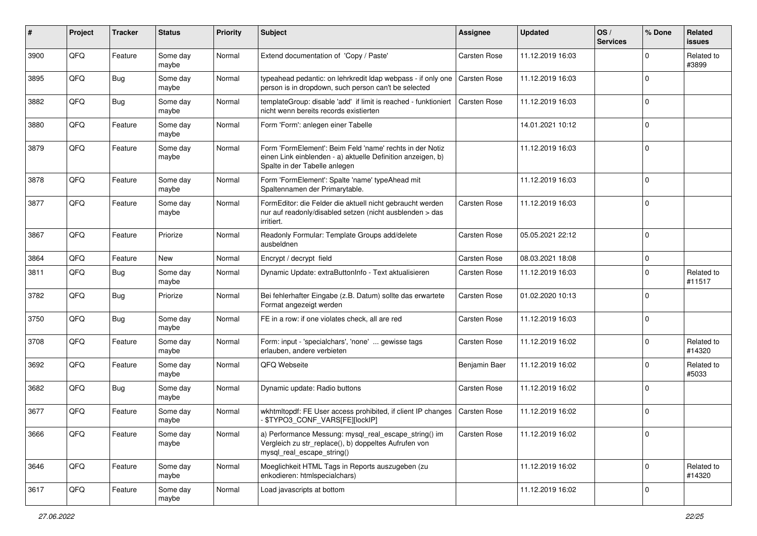| $\sharp$ | Project | <b>Tracker</b> | <b>Status</b>     | <b>Priority</b> | <b>Subject</b>                                                                                                                                           | <b>Assignee</b>     | <b>Updated</b>   | OS/<br><b>Services</b> | % Done         | Related<br><b>issues</b> |
|----------|---------|----------------|-------------------|-----------------|----------------------------------------------------------------------------------------------------------------------------------------------------------|---------------------|------------------|------------------------|----------------|--------------------------|
| 3900     | QFQ     | Feature        | Some day<br>maybe | Normal          | Extend documentation of 'Copy / Paste'                                                                                                                   | Carsten Rose        | 11.12.2019 16:03 |                        | $\Omega$       | Related to<br>#3899      |
| 3895     | QFQ     | Bug            | Some day<br>maybe | Normal          | typeahead pedantic: on lehrkredit Idap webpass - if only one<br>person is in dropdown, such person can't be selected                                     | <b>Carsten Rose</b> | 11.12.2019 16:03 |                        | $\mathbf 0$    |                          |
| 3882     | QFQ     | <b>Bug</b>     | Some day<br>maybe | Normal          | templateGroup: disable 'add' if limit is reached - funktioniert<br>nicht wenn bereits records existierten                                                | Carsten Rose        | 11.12.2019 16:03 |                        | $\mathbf 0$    |                          |
| 3880     | QFQ     | Feature        | Some day<br>maybe | Normal          | Form 'Form': anlegen einer Tabelle                                                                                                                       |                     | 14.01.2021 10:12 |                        | $\mathbf 0$    |                          |
| 3879     | QFQ     | Feature        | Some day<br>maybe | Normal          | Form 'FormElement': Beim Feld 'name' rechts in der Notiz<br>einen Link einblenden - a) aktuelle Definition anzeigen, b)<br>Spalte in der Tabelle anlegen |                     | 11.12.2019 16:03 |                        | $\mathbf 0$    |                          |
| 3878     | QFQ     | Feature        | Some day<br>maybe | Normal          | Form 'FormElement': Spalte 'name' typeAhead mit<br>Spaltennamen der Primarytable.                                                                        |                     | 11.12.2019 16:03 |                        | $\mathbf 0$    |                          |
| 3877     | QFQ     | Feature        | Some day<br>maybe | Normal          | FormEditor: die Felder die aktuell nicht gebraucht werden<br>nur auf readonly/disabled setzen (nicht ausblenden > das<br>irritiert.                      | Carsten Rose        | 11.12.2019 16:03 |                        | $\mathbf 0$    |                          |
| 3867     | QFQ     | Feature        | Priorize          | Normal          | Readonly Formular: Template Groups add/delete<br>ausbeldnen                                                                                              | Carsten Rose        | 05.05.2021 22:12 |                        | $\mathbf 0$    |                          |
| 3864     | QFQ     | Feature        | New               | Normal          | Encrypt / decrypt field                                                                                                                                  | Carsten Rose        | 08.03.2021 18:08 |                        | $\mathbf 0$    |                          |
| 3811     | QFQ     | <b>Bug</b>     | Some day<br>maybe | Normal          | Dynamic Update: extraButtonInfo - Text aktualisieren                                                                                                     | Carsten Rose        | 11.12.2019 16:03 |                        | $\mathbf 0$    | Related to<br>#11517     |
| 3782     | QFQ     | <b>Bug</b>     | Priorize          | Normal          | Bei fehlerhafter Eingabe (z.B. Datum) sollte das erwartete<br>Format angezeigt werden                                                                    | Carsten Rose        | 01.02.2020 10:13 |                        | $\Omega$       |                          |
| 3750     | QFQ     | Bug            | Some day<br>maybe | Normal          | FE in a row: if one violates check, all are red                                                                                                          | Carsten Rose        | 11.12.2019 16:03 |                        | $\Omega$       |                          |
| 3708     | QFQ     | Feature        | Some day<br>maybe | Normal          | Form: input - 'specialchars', 'none'  gewisse tags<br>erlauben, andere verbieten                                                                         | Carsten Rose        | 11.12.2019 16:02 |                        | $\mathbf 0$    | Related to<br>#14320     |
| 3692     | QFQ     | Feature        | Some day<br>maybe | Normal          | QFQ Webseite                                                                                                                                             | Benjamin Baer       | 11.12.2019 16:02 |                        | $\mathbf 0$    | Related to<br>#5033      |
| 3682     | QFQ     | <b>Bug</b>     | Some day<br>maybe | Normal          | Dynamic update: Radio buttons                                                                                                                            | Carsten Rose        | 11.12.2019 16:02 |                        | $\Omega$       |                          |
| 3677     | QFQ     | Feature        | Some day<br>maybe | Normal          | wkhtmltopdf: FE User access prohibited, if client IP changes<br>\$TYPO3_CONF_VARS[FE][lockIP]                                                            | Carsten Rose        | 11.12.2019 16:02 |                        | $\mathbf 0$    |                          |
| 3666     | QFQ     | Feature        | Some day<br>maybe | Normal          | a) Performance Messung: mysql_real_escape_string() im<br>Vergleich zu str_replace(), b) doppeltes Aufrufen von<br>mysql_real_escape_string()             | Carsten Rose        | 11.12.2019 16:02 |                        | 0              |                          |
| 3646     | QFQ     | Feature        | Some day<br>maybe | Normal          | Moeglichkeit HTML Tags in Reports auszugeben (zu<br>enkodieren: htmlspecialchars)                                                                        |                     | 11.12.2019 16:02 |                        | $\overline{0}$ | Related to<br>#14320     |
| 3617     | QFG     | Feature        | Some day<br>maybe | Normal          | Load javascripts at bottom                                                                                                                               |                     | 11.12.2019 16:02 |                        | $\overline{0}$ |                          |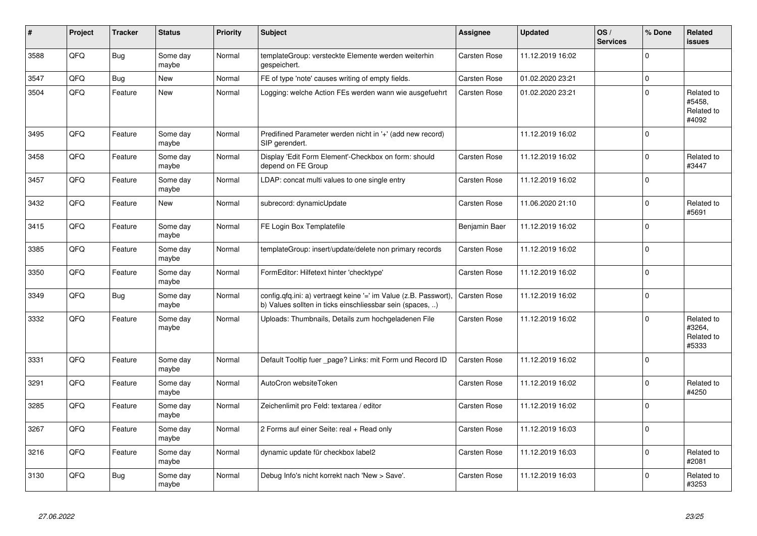| ∦    | Project | <b>Tracker</b> | <b>Status</b>     | <b>Priority</b> | <b>Subject</b>                                                                                                                | Assignee            | <b>Updated</b>   | OS/<br><b>Services</b> | % Done      | Related<br>issues                           |
|------|---------|----------------|-------------------|-----------------|-------------------------------------------------------------------------------------------------------------------------------|---------------------|------------------|------------------------|-------------|---------------------------------------------|
| 3588 | QFQ     | Bug            | Some day<br>maybe | Normal          | templateGroup: versteckte Elemente werden weiterhin<br>gespeichert.                                                           | Carsten Rose        | 11.12.2019 16:02 |                        | $\Omega$    |                                             |
| 3547 | QFQ     | Bug            | <b>New</b>        | Normal          | FE of type 'note' causes writing of empty fields.                                                                             | Carsten Rose        | 01.02.2020 23:21 |                        | $\mathbf 0$ |                                             |
| 3504 | QFQ     | Feature        | <b>New</b>        | Normal          | Logging: welche Action FEs werden wann wie ausgefuehrt                                                                        | Carsten Rose        | 01.02.2020 23:21 |                        | $\Omega$    | Related to<br>#5458.<br>Related to<br>#4092 |
| 3495 | QFQ     | Feature        | Some day<br>maybe | Normal          | Predifined Parameter werden nicht in '+' (add new record)<br>SIP gerendert.                                                   |                     | 11.12.2019 16:02 |                        | $\Omega$    |                                             |
| 3458 | QFQ     | Feature        | Some day<br>maybe | Normal          | Display 'Edit Form Element'-Checkbox on form: should<br>depend on FE Group                                                    | Carsten Rose        | 11.12.2019 16:02 |                        | $\Omega$    | Related to<br>#3447                         |
| 3457 | QFQ     | Feature        | Some day<br>maybe | Normal          | LDAP: concat multi values to one single entry                                                                                 | Carsten Rose        | 11.12.2019 16:02 |                        | $\Omega$    |                                             |
| 3432 | QFQ     | Feature        | <b>New</b>        | Normal          | subrecord: dynamicUpdate                                                                                                      | Carsten Rose        | 11.06.2020 21:10 |                        | $\Omega$    | Related to<br>#5691                         |
| 3415 | QFQ     | Feature        | Some day<br>maybe | Normal          | FE Login Box Templatefile                                                                                                     | Benjamin Baer       | 11.12.2019 16:02 |                        | $\Omega$    |                                             |
| 3385 | QFQ     | Feature        | Some day<br>maybe | Normal          | templateGroup: insert/update/delete non primary records                                                                       | <b>Carsten Rose</b> | 11.12.2019 16:02 |                        | $\mathbf 0$ |                                             |
| 3350 | QFQ     | Feature        | Some day<br>maybe | Normal          | FormEditor: Hilfetext hinter 'checktype'                                                                                      | Carsten Rose        | 11.12.2019 16:02 |                        | $\Omega$    |                                             |
| 3349 | QFQ     | Bug            | Some day<br>maybe | Normal          | config.qfq.ini: a) vertraegt keine '=' im Value (z.B. Passwort).<br>b) Values sollten in ticks einschliessbar sein (spaces, ) | <b>Carsten Rose</b> | 11.12.2019 16:02 |                        | $\Omega$    |                                             |
| 3332 | QFQ     | Feature        | Some day<br>maybe | Normal          | Uploads: Thumbnails, Details zum hochgeladenen File                                                                           | Carsten Rose        | 11.12.2019 16:02 |                        | $\Omega$    | Related to<br>#3264,<br>Related to<br>#5333 |
| 3331 | QFQ     | Feature        | Some day<br>maybe | Normal          | Default Tooltip fuer _page? Links: mit Form und Record ID                                                                     | Carsten Rose        | 11.12.2019 16:02 |                        | $\Omega$    |                                             |
| 3291 | QFQ     | Feature        | Some day<br>maybe | Normal          | AutoCron websiteToken                                                                                                         | Carsten Rose        | 11.12.2019 16:02 |                        | $\Omega$    | Related to<br>#4250                         |
| 3285 | QFQ     | Feature        | Some day<br>maybe | Normal          | Zeichenlimit pro Feld: textarea / editor                                                                                      | Carsten Rose        | 11.12.2019 16:02 |                        | $\Omega$    |                                             |
| 3267 | QFQ     | Feature        | Some day<br>maybe | Normal          | 2 Forms auf einer Seite: real + Read only                                                                                     | Carsten Rose        | 11.12.2019 16:03 |                        | $\Omega$    |                                             |
| 3216 | QFQ     | Feature        | Some day<br>maybe | Normal          | dynamic update für checkbox label2                                                                                            | <b>Carsten Rose</b> | 11.12.2019 16:03 |                        | $\Omega$    | Related to<br>#2081                         |
| 3130 | QFQ     | Bug            | Some day<br>maybe | Normal          | Debug Info's nicht korrekt nach 'New > Save'.                                                                                 | <b>Carsten Rose</b> | 11.12.2019 16:03 |                        | $\Omega$    | Related to<br>#3253                         |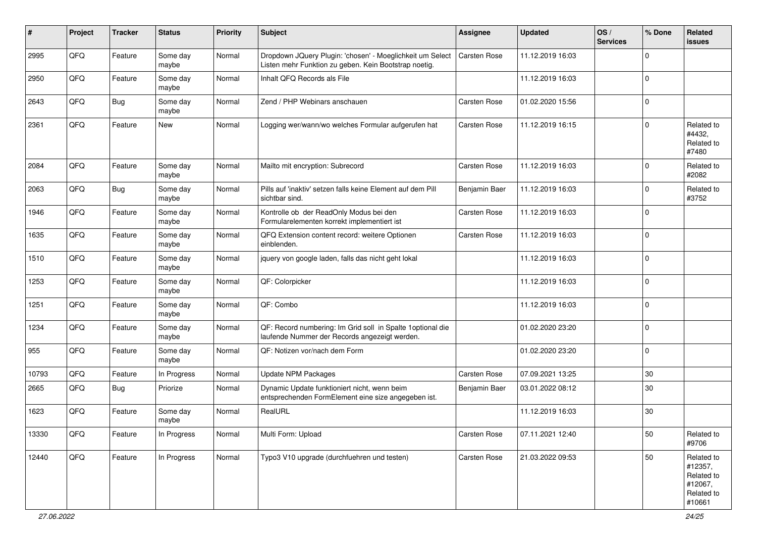| #     | Project | <b>Tracker</b> | <b>Status</b>     | <b>Priority</b> | Subject                                                                                                            | <b>Assignee</b> | <b>Updated</b>   | OS/<br><b>Services</b> | % Done      | Related<br>issues                                                      |
|-------|---------|----------------|-------------------|-----------------|--------------------------------------------------------------------------------------------------------------------|-----------------|------------------|------------------------|-------------|------------------------------------------------------------------------|
| 2995  | QFQ     | Feature        | Some day<br>maybe | Normal          | Dropdown JQuery Plugin: 'chosen' - Moeglichkeit um Select<br>Listen mehr Funktion zu geben. Kein Bootstrap noetig. | Carsten Rose    | 11.12.2019 16:03 |                        | $\mathbf 0$ |                                                                        |
| 2950  | QFQ     | Feature        | Some day<br>maybe | Normal          | Inhalt QFQ Records als File                                                                                        |                 | 11.12.2019 16:03 |                        | $\mathbf 0$ |                                                                        |
| 2643  | QFQ     | <b>Bug</b>     | Some day<br>maybe | Normal          | Zend / PHP Webinars anschauen                                                                                      | Carsten Rose    | 01.02.2020 15:56 |                        | $\Omega$    |                                                                        |
| 2361  | QFQ     | Feature        | New               | Normal          | Logging wer/wann/wo welches Formular aufgerufen hat                                                                | Carsten Rose    | 11.12.2019 16:15 |                        | $\mathbf 0$ | Related to<br>#4432,<br>Related to<br>#7480                            |
| 2084  | QFQ     | Feature        | Some day<br>maybe | Normal          | Mailto mit encryption: Subrecord                                                                                   | Carsten Rose    | 11.12.2019 16:03 |                        | $\Omega$    | Related to<br>#2082                                                    |
| 2063  | QFQ     | <b>Bug</b>     | Some day<br>maybe | Normal          | Pills auf 'inaktiv' setzen falls keine Element auf dem Pill<br>sichtbar sind.                                      | Benjamin Baer   | 11.12.2019 16:03 |                        | 0           | Related to<br>#3752                                                    |
| 1946  | QFQ     | Feature        | Some day<br>maybe | Normal          | Kontrolle ob der ReadOnly Modus bei den<br>Formularelementen korrekt implementiert ist                             | Carsten Rose    | 11.12.2019 16:03 |                        | $\mathbf 0$ |                                                                        |
| 1635  | QFQ     | Feature        | Some day<br>maybe | Normal          | QFQ Extension content record: weitere Optionen<br>einblenden.                                                      | Carsten Rose    | 11.12.2019 16:03 |                        | $\mathbf 0$ |                                                                        |
| 1510  | QFQ     | Feature        | Some day<br>maybe | Normal          | jquery von google laden, falls das nicht geht lokal                                                                |                 | 11.12.2019 16:03 |                        | $\Omega$    |                                                                        |
| 1253  | QFQ     | Feature        | Some day<br>maybe | Normal          | QF: Colorpicker                                                                                                    |                 | 11.12.2019 16:03 |                        | $\mathbf 0$ |                                                                        |
| 1251  | QFQ     | Feature        | Some day<br>maybe | Normal          | QF: Combo                                                                                                          |                 | 11.12.2019 16:03 |                        | 0           |                                                                        |
| 1234  | QFQ     | Feature        | Some day<br>maybe | Normal          | QF: Record numbering: Im Grid soll in Spalte 1 optional die<br>laufende Nummer der Records angezeigt werden.       |                 | 01.02.2020 23:20 |                        | $\mathbf 0$ |                                                                        |
| 955   | QFQ     | Feature        | Some day<br>maybe | Normal          | QF: Notizen vor/nach dem Form                                                                                      |                 | 01.02.2020 23:20 |                        | $\mathbf 0$ |                                                                        |
| 10793 | QFQ     | Feature        | In Progress       | Normal          | <b>Update NPM Packages</b>                                                                                         | Carsten Rose    | 07.09.2021 13:25 |                        | 30          |                                                                        |
| 2665  | QFQ     | <b>Bug</b>     | Priorize          | Normal          | Dynamic Update funktioniert nicht, wenn beim<br>entsprechenden FormElement eine size angegeben ist.                | Benjamin Baer   | 03.01.2022 08:12 |                        | 30          |                                                                        |
| 1623  | QFQ     | Feature        | Some day<br>maybe | Normal          | RealURL                                                                                                            |                 | 11.12.2019 16:03 |                        | 30          |                                                                        |
| 13330 | QFQ     | Feature        | In Progress       | Normal          | Multi Form: Upload                                                                                                 | Carsten Rose    | 07.11.2021 12:40 |                        | 50          | Related to<br>#9706                                                    |
| 12440 | QFG     | Feature        | In Progress       | Normal          | Typo3 V10 upgrade (durchfuehren und testen)                                                                        | Carsten Rose    | 21.03.2022 09:53 |                        | 50          | Related to<br>#12357,<br>Related to<br>#12067,<br>Related to<br>#10661 |